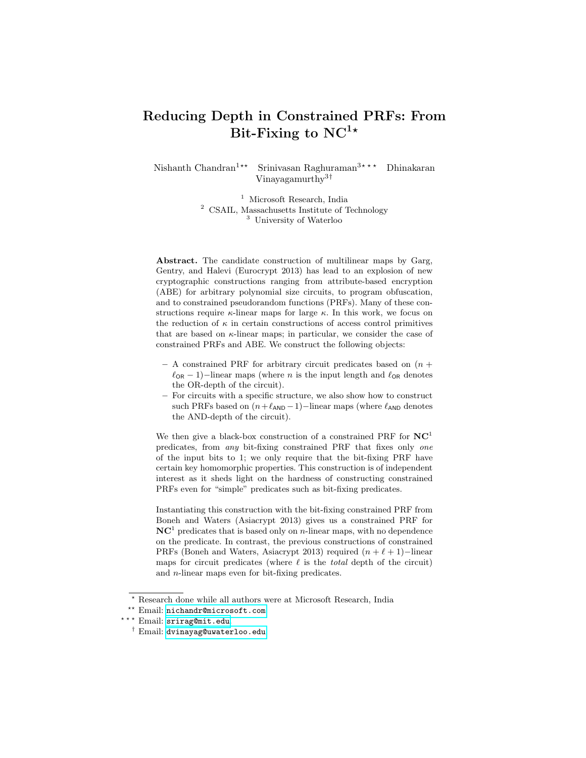# Reducing Depth in Constrained PRFs: From Bit-Fixing to  $NC^{1*}$

Nishanth Chandran<sup>1\*\*</sup> Srinivasan Raghuraman<sup>3\*\*\*</sup> Dhinakaran Vinayagamurthy3†

> <sup>1</sup> Microsoft Research, India <sup>2</sup> CSAIL, Massachusetts Institute of Technology <sup>3</sup> University of Waterloo

Abstract. The candidate construction of multilinear maps by Garg, Gentry, and Halevi (Eurocrypt 2013) has lead to an explosion of new cryptographic constructions ranging from attribute-based encryption (ABE) for arbitrary polynomial size circuits, to program obfuscation, and to constrained pseudorandom functions (PRFs). Many of these constructions require  $\kappa$ -linear maps for large  $\kappa$ . In this work, we focus on the reduction of  $\kappa$  in certain constructions of access control primitives that are based on  $\kappa$ -linear maps; in particular, we consider the case of constrained PRFs and ABE. We construct the following objects:

- A constrained PRF for arbitrary circuit predicates based on  $(n +$  $\ell_{OR}$  − 1)–linear maps (where n is the input length and  $\ell_{OR}$  denotes the OR-depth of the circuit).
- For circuits with a specific structure, we also show how to construct such PRFs based on  $(n+\ell_{AND}-1)$ –linear maps (where  $\ell_{AND}$  denotes the AND-depth of the circuit).

We then give a black-box construction of a constrained PRF for  $NC<sup>1</sup>$ predicates, from any bit-fixing constrained PRF that fixes only one of the input bits to 1; we only require that the bit-fixing PRF have certain key homomorphic properties. This construction is of independent interest as it sheds light on the hardness of constructing constrained PRFs even for "simple" predicates such as bit-fixing predicates.

Instantiating this construction with the bit-fixing constrained PRF from Boneh and Waters (Asiacrypt 2013) gives us a constrained PRF for  $NC<sup>1</sup>$  predicates that is based only on *n*-linear maps, with no dependence on the predicate. In contrast, the previous constructions of constrained PRFs (Boneh and Waters, Asiacrypt 2013) required  $(n + \ell + 1)$ −linear maps for circuit predicates (where  $\ell$  is the total depth of the circuit) and n-linear maps even for bit-fixing predicates.

 $^\star$  Research done while all authors were at Microsoft Research, India

<sup>\*\*</sup> Email: [nichandr@microsoft.com](mailto:nichandr@microsoft.com).

<sup>\*\*\*</sup> Email: [srirag@mit.edu](mailto:srirag@mit.edu).

<sup>†</sup> Email: [dvinayag@uwaterloo.edu](mailto:dvinayag@uwaterloo.edu).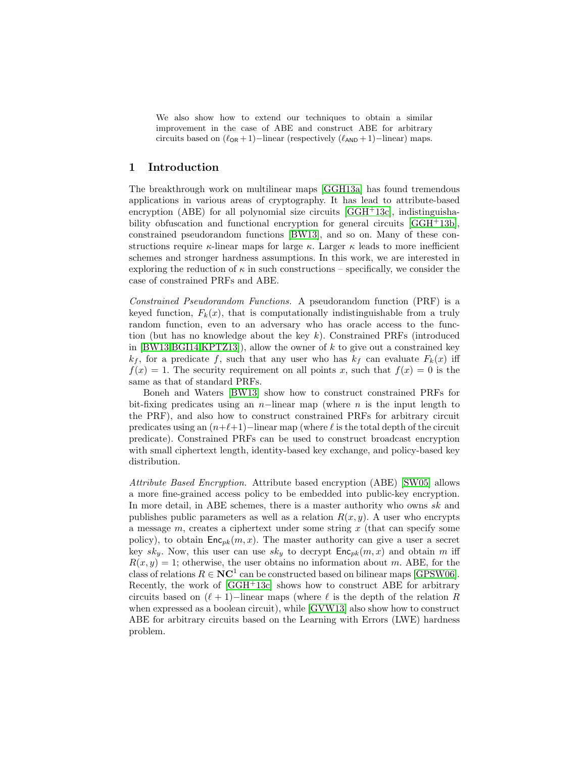We also show how to extend our techniques to obtain a similar improvement in the case of ABE and construct ABE for arbitrary circuits based on  $(\ell_{OR} + 1)$ −linear (respectively  $(\ell_{AND} + 1)$ −linear) maps.

# 1 Introduction

The breakthrough work on multilinear maps [\[GGH13a\]](#page-26-0) has found tremendous applications in various areas of cryptography. It has lead to attribute-based encryption (ABE) for all polynomial size circuits  $[GGH^+13c]$  $[GGH^+13c]$ , indistinguishability obfuscation and functional encryption for general circuits [\[GGH](#page-26-2)+13b], constrained pseudorandom functions [\[BW13\]](#page-25-0), and so on. Many of these constructions require  $\kappa$ -linear maps for large  $\kappa$ . Larger  $\kappa$  leads to more inefficient schemes and stronger hardness assumptions. In this work, we are interested in exploring the reduction of  $\kappa$  in such constructions – specifically, we consider the case of constrained PRFs and ABE.

Constrained Pseudorandom Functions. A pseudorandom function (PRF) is a keyed function,  $F_k(x)$ , that is computationally indistinguishable from a truly random function, even to an adversary who has oracle access to the function (but has no knowledge about the key  $k$ ). Constrained PRFs (introduced in  $[BW13, BGI14, KPTZ13]$  $[BW13, BGI14, KPTZ13]$ , allow the owner of k to give out a constrained key  $k_f$ , for a predicate f, such that any user who has  $k_f$  can evaluate  $F_k(x)$  iff  $f(x) = 1$ . The security requirement on all points x, such that  $f(x) = 0$  is the same as that of standard PRFs.

Boneh and Waters [\[BW13\]](#page-25-0) show how to construct constrained PRFs for bit-fixing predicates using an  $n-$ linear map (where n is the input length to the PRF), and also how to construct constrained PRFs for arbitrary circuit predicates using an  $(n+\ell+1)$ −linear map (where  $\ell$  is the total depth of the circuit predicate). Constrained PRFs can be used to construct broadcast encryption with small ciphertext length, identity-based key exchange, and policy-based key distribution.

Attribute Based Encryption. Attribute based encryption (ABE) [\[SW05\]](#page-26-4) allows a more fine-grained access policy to be embedded into public-key encryption. In more detail, in ABE schemes, there is a master authority who owns sk and publishes public parameters as well as a relation  $R(x, y)$ . A user who encrypts a message  $m$ , creates a ciphertext under some string  $x$  (that can specify some policy), to obtain  $\mathsf{Enc}_{pk}(m, x)$ . The master authority can give a user a secret key sky. Now, this user can use sky to decrypt  $\mathsf{Enc}_{pk}(m, x)$  and obtain m iff  $R(x, y) = 1$ ; otherwise, the user obtains no information about m. ABE, for the class of relations  $R \in \mathbb{NC}^1$  can be constructed based on bilinear maps [\[GPSW06\]](#page-26-5). Recently, the work of [\[GGH](#page-26-1)<sup>+</sup>13c] shows how to construct ABE for arbitrary circuits based on  $(\ell + 1)$ −linear maps (where  $\ell$  is the depth of the relation R when expressed as a boolean circuit), while [\[GVW13\]](#page-26-6) also show how to construct ABE for arbitrary circuits based on the Learning with Errors (LWE) hardness problem.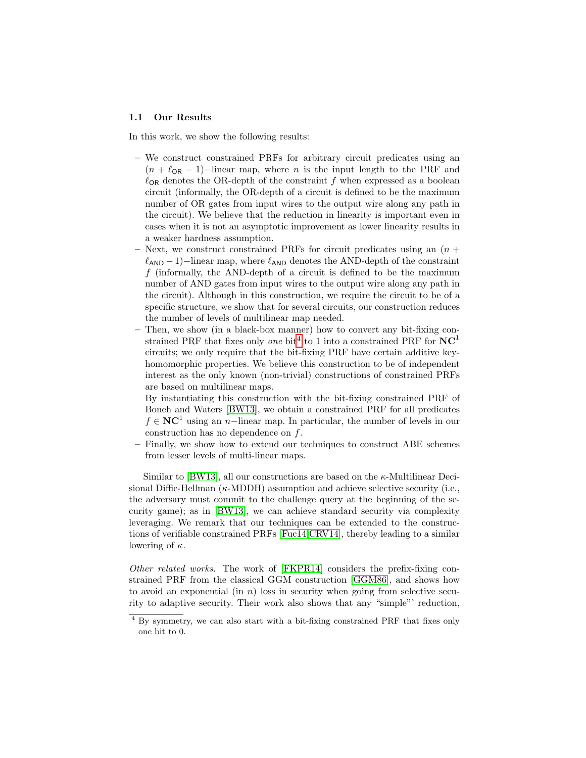## 1.1 Our Results

In this work, we show the following results:

- We construct constrained PRFs for arbitrary circuit predicates using an  $(n + \ell_{OR} - 1)$ −linear map, where *n* is the input length to the PRF and  $\ell_{OR}$  denotes the OR-depth of the constraint f when expressed as a boolean circuit (informally, the OR-depth of a circuit is defined to be the maximum number of OR gates from input wires to the output wire along any path in the circuit). We believe that the reduction in linearity is important even in cases when it is not an asymptotic improvement as lower linearity results in a weaker hardness assumption.
- Next, we construct constrained PRFs for circuit predicates using an  $(n +$  $\ell_{AND} - 1$ )–linear map, where  $\ell_{AND}$  denotes the AND-depth of the constraint  $f$  (informally, the AND-depth of a circuit is defined to be the maximum number of AND gates from input wires to the output wire along any path in the circuit). Although in this construction, we require the circuit to be of a specific structure, we show that for several circuits, our construction reduces the number of levels of multilinear map needed.
- Then, we show (in a black-box manner) how to convert any bit-fixing constrained PRF that fixes only *one* bit<sup>[4](#page-2-0)</sup> to 1 into a constrained PRF for  $NC<sup>1</sup>$ circuits; we only require that the bit-fixing PRF have certain additive keyhomomorphic properties. We believe this construction to be of independent interest as the only known (non-trivial) constructions of constrained PRFs are based on multilinear maps.
	- By instantiating this construction with the bit-fixing constrained PRF of Boneh and Waters [\[BW13\]](#page-25-0), we obtain a constrained PRF for all predicates  $f \in NC<sup>1</sup>$  using an n-linear map. In particular, the number of levels in our construction has no dependence on f.
- Finally, we show how to extend our techniques to construct ABE schemes from lesser levels of multi-linear maps.

Similar to  $|BW13|$ , all our constructions are based on the  $\kappa$ -Multilinear Decisional Diffie-Hellman  $(\kappa\text{-MDDH})$  assumption and achieve selective security (i.e., the adversary must commit to the challenge query at the beginning of the security game); as in [\[BW13\]](#page-25-0), we can achieve standard security via complexity leveraging. We remark that our techniques can be extended to the constructions of verifiable constrained PRFs [\[Fuc14,](#page-26-7)[CRV14\]](#page-25-2), thereby leading to a similar lowering of  $\kappa$ .

Other related works. The work of [\[FKPR14\]](#page-25-3) considers the prefix-fixing constrained PRF from the classical GGM construction [\[GGM86\]](#page-26-8), and shows how to avoid an exponential (in  $n$ ) loss in security when going from selective security to adaptive security. Their work also shows that any "simple"' reduction,

<span id="page-2-0"></span><sup>4</sup> By symmetry, we can also start with a bit-fixing constrained PRF that fixes only one bit to 0.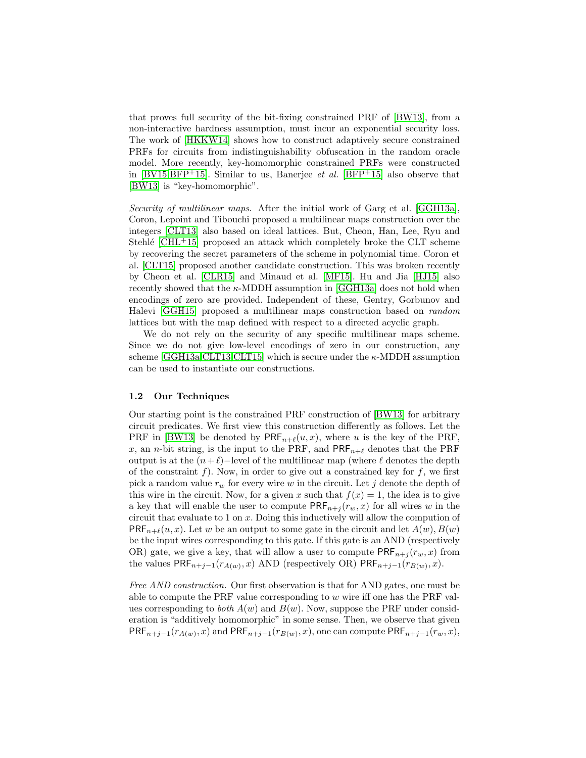that proves full security of the bit-fixing constrained PRF of [\[BW13\]](#page-25-0), from a non-interactive hardness assumption, must incur an exponential security loss. The work of [\[HKKW14\]](#page-26-9) shows how to construct adaptively secure constrained PRFs for circuits from indistinguishability obfuscation in the random oracle model. More recently, key-homomorphic constrained PRFs were constructed in [\[BV15,](#page-25-4)[BFP](#page-25-5)<sup>+</sup>15]. Similar to us, Banerjee *et al.* [\[BFP](#page-25-5)<sup>+</sup>15] also observe that [\[BW13\]](#page-25-0) is "key-homomorphic".

Security of multilinear maps. After the initial work of Garg et al. [\[GGH13a\]](#page-26-0), Coron, Lepoint and Tibouchi proposed a multilinear maps construction over the integers [\[CLT13\]](#page-25-6) also based on ideal lattices. But, Cheon, Han, Lee, Ryu and Stehlé  $\lbrack \text{CHL+15} \rbrack$  proposed an attack which completely broke the CLT scheme by recovering the secret parameters of the scheme in polynomial time. Coron et al. [\[CLT15\]](#page-25-8) proposed another candidate construction. This was broken recently by Cheon et al. [\[CLR15\]](#page-25-9) and Minaud et al. [\[MF15\]](#page-26-10). Hu and Jia [\[HJ15\]](#page-26-11) also recently showed that the  $\kappa$ -MDDH assumption in [\[GGH13a\]](#page-26-0) does not hold when encodings of zero are provided. Independent of these, Gentry, Gorbunov and Halevi [\[GGH15\]](#page-26-12) proposed a multilinear maps construction based on random lattices but with the map defined with respect to a directed acyclic graph.

We do not rely on the security of any specific multilinear maps scheme. Since we do not give low-level encodings of zero in our construction, any scheme  $[GGH13a, CLT13, CLT15]$  $[GGH13a, CLT13, CLT15]$  which is secure under the  $\kappa$ -MDDH assumption can be used to instantiate our constructions.

#### 1.2 Our Techniques

Our starting point is the constrained PRF construction of [\[BW13\]](#page-25-0) for arbitrary circuit predicates. We first view this construction differently as follows. Let the PRF in [\[BW13\]](#page-25-0) be denoted by  $\mathsf{PRF}_{n+\ell}(u, x)$ , where u is the key of the PRF, x, an n-bit string, is the input to the PRF, and  $\text{PRF}_{n+\ell}$  denotes that the PRF output is at the  $(n+\ell)$ −level of the multilinear map (where  $\ell$  denotes the depth of the constraint f). Now, in order to give out a constrained key for  $f$ , we first pick a random value  $r_w$  for every wire w in the circuit. Let j denote the depth of this wire in the circuit. Now, for a given x such that  $f(x) = 1$ , the idea is to give a key that will enable the user to compute  $\mathsf{PRF}_{n+j}(r_w, x)$  for all wires w in the circuit that evaluate to 1 on  $x$ . Doing this inductively will allow the compution of  $PRF_{n+\ell}(u, x)$ . Let w be an output to some gate in the circuit and let  $A(w), B(w)$ be the input wires corresponding to this gate. If this gate is an AND (respectively OR) gate, we give a key, that will allow a user to compute  $\mathsf{PRF}_{n+j}(r_w, x)$  from the values  $\mathsf{PRF}_{n+j-1}(r_{A(w)}, x)$  AND (respectively OR)  $\mathsf{PRF}_{n+j-1}(r_{B(w)}, x)$ .

Free AND construction. Our first observation is that for AND gates, one must be able to compute the PRF value corresponding to  $w$  wire iff one has the PRF values corresponding to *both*  $A(w)$  and  $B(w)$ . Now, suppose the PRF under consideration is "additively homomorphic" in some sense. Then, we observe that given  $\mathsf{PRF}_{n+j-1}(r_{A(w)}, x)$  and  $\mathsf{PRF}_{n+j-1}(r_{B(w)}, x)$ , one can compute  $\mathsf{PRF}_{n+j-1}(r_w, x)$ ,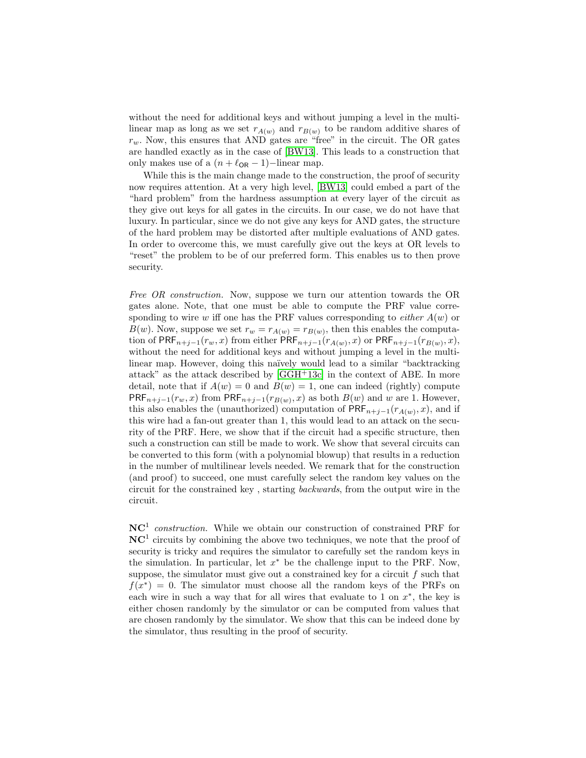without the need for additional keys and without jumping a level in the multilinear map as long as we set  $r_{A(w)}$  and  $r_{B(w)}$  to be random additive shares of  $r_w$ . Now, this ensures that AND gates are "free" in the circuit. The OR gates are handled exactly as in the case of [\[BW13\]](#page-25-0). This leads to a construction that only makes use of a  $(n + \ell_{OR} - 1)$ −linear map.

While this is the main change made to the construction, the proof of security now requires attention. At a very high level, [\[BW13\]](#page-25-0) could embed a part of the "hard problem" from the hardness assumption at every layer of the circuit as they give out keys for all gates in the circuits. In our case, we do not have that luxury. In particular, since we do not give any keys for AND gates, the structure of the hard problem may be distorted after multiple evaluations of AND gates. In order to overcome this, we must carefully give out the keys at OR levels to "reset" the problem to be of our preferred form. This enables us to then prove security.

Free OR construction. Now, suppose we turn our attention towards the OR gates alone. Note, that one must be able to compute the PRF value corresponding to wire w iff one has the PRF values corresponding to *either*  $A(w)$  or  $B(w)$ . Now, suppose we set  $r_w = r_{A(w)} = r_{B(w)}$ , then this enables the computation of PRF<sub>n+j−1</sub>( $r_w$ , x) from either PRF<sub>n+j−1</sub>( $r_{A(w)}$ , x) or PRF<sub>n+j−1</sub>( $r_{B(w)}$ , x), without the need for additional keys and without jumping a level in the multilinear map. However, doing this naïvely would lead to a similar "backtracking" attack" as the attack described by [\[GGH](#page-26-1)+13c] in the context of ABE. In more detail, note that if  $A(w) = 0$  and  $B(w) = 1$ , one can indeed (rightly) compute  $\mathsf{PRF}_{n+j-1}(r_w, x)$  from  $\mathsf{PRF}_{n+j-1}(r_{B(w)}, x)$  as both  $B(w)$  and w are 1. However, this also enables the (unauthorized) computation of  $\mathsf{PRF}_{n+j-1}(r_{A(w)},x)$ , and if this wire had a fan-out greater than 1, this would lead to an attack on the security of the PRF. Here, we show that if the circuit had a specific structure, then such a construction can still be made to work. We show that several circuits can be converted to this form (with a polynomial blowup) that results in a reduction in the number of multilinear levels needed. We remark that for the construction (and proof) to succeed, one must carefully select the random key values on the circuit for the constrained key , starting backwards, from the output wire in the circuit.

 $NC<sup>1</sup>$  construction. While we obtain our construction of constrained PRF for  $NC<sup>1</sup>$  circuits by combining the above two techniques, we note that the proof of security is tricky and requires the simulator to carefully set the random keys in the simulation. In particular, let  $x^*$  be the challenge input to the PRF. Now, suppose, the simulator must give out a constrained key for a circuit  $f$  such that  $f(x^*) = 0$ . The simulator must choose all the random keys of the PRFs on each wire in such a way that for all wires that evaluate to 1 on  $x^*$ , the key is either chosen randomly by the simulator or can be computed from values that are chosen randomly by the simulator. We show that this can be indeed done by the simulator, thus resulting in the proof of security.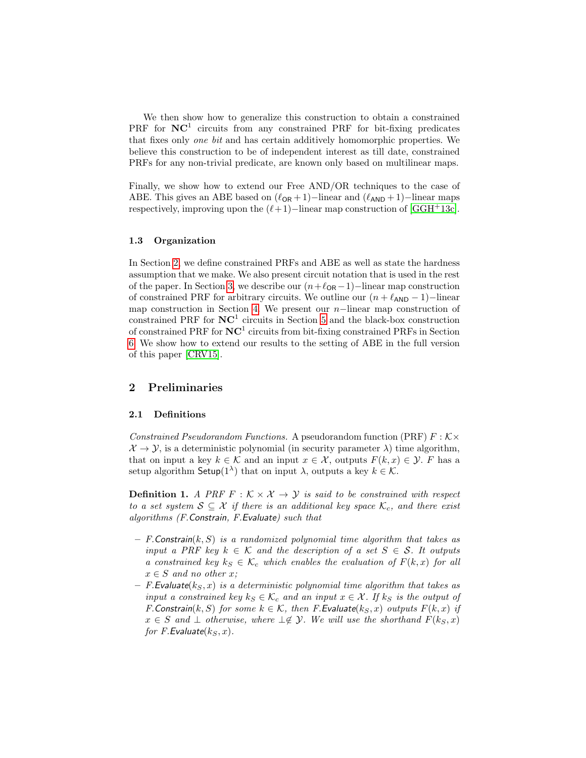We then show how to generalize this construction to obtain a constrained PRF for  $NC<sup>1</sup>$  circuits from any constrained PRF for bit-fixing predicates that fixes only one bit and has certain additively homomorphic properties. We believe this construction to be of independent interest as till date, constrained PRFs for any non-trivial predicate, are known only based on multilinear maps.

Finally, we show how to extend our Free AND/OR techniques to the case of ABE. This gives an ABE based on  $(\ell_{OR} + 1)$ −linear and  $(\ell_{AND} + 1)$ −linear maps respectively, improving upon the  $(\ell+1)$ −linear map construction of [\[GGH](#page-26-1)+13c].

## 1.3 Organization

In Section [2,](#page-5-0) we define constrained PRFs and ABE as well as state the hardness assumption that we make. We also present circuit notation that is used in the rest of the paper. In Section [3,](#page-8-0) we describe our  $(n+\ell_{OR}-1)$ −linear map construction of constrained PRF for arbitrary circuits. We outline our  $(n + \ell_{AND} - 1)$ −linear map construction in Section [4.](#page-15-0) We present our n−linear map construction of constrained PRF for  $NC<sup>1</sup>$  circuits in Section [5](#page-18-0) and the black-box construction of constrained PRF for  $NC^1$  circuits from bit-fixing constrained PRFs in Section [6.](#page-22-0) We show how to extend our results to the setting of ABE in the full version of this paper [\[CRV15\]](#page-25-10).

# <span id="page-5-0"></span>2 Preliminaries

## 2.1 Definitions

Constrained Pseudorandom Functions. A pseudorandom function (PRF)  $F : K \times$  $\mathcal{X} \to \mathcal{Y}$ , is a deterministic polynomial (in security parameter  $\lambda$ ) time algorithm, that on input a key  $k \in \mathcal{K}$  and an input  $x \in \mathcal{X}$ , outputs  $F(k, x) \in \mathcal{Y}$ . F has a setup algorithm  $\mathsf{Setup}(1^{\lambda})$  that on input  $\lambda$ , outputs a key  $k \in \mathcal{K}$ .

**Definition 1.** A PRF  $F : K \times X \rightarrow Y$  is said to be constrained with respect to a set system  $S \subseteq \mathcal{X}$  if there is an additional key space  $\mathcal{K}_c$ , and there exist algorithms (F.Constrain, F.Evaluate) such that

- $-$  F. Constrain $(k, S)$  is a randomized polynomial time algorithm that takes as input a PRF key  $k \in \mathcal{K}$  and the description of a set  $S \in \mathcal{S}$ . It outputs a constrained key  $k_S \in \mathcal{K}_c$  which enables the evaluation of  $F(k, x)$  for all  $x \in S$  and no other x;
- $-$  F. Evaluate( $k_S, x$ ) is a deterministic polynomial time algorithm that takes as input a constrained key  $k_S \in \mathcal{K}_c$  and an input  $x \in \mathcal{X}$ . If  $k_S$  is the output of F. Constrain(k, S) for some  $k \in \mathcal{K}$ , then F. Evaluate(k<sub>S</sub>, x) outputs  $F(k, x)$  if  $x \in S$  and  $\perp$  otherwise, where  $\perp \notin \mathcal{Y}$ . We will use the shorthand  $F(k_S, x)$ for F.Evaluate $(k_S, x)$ .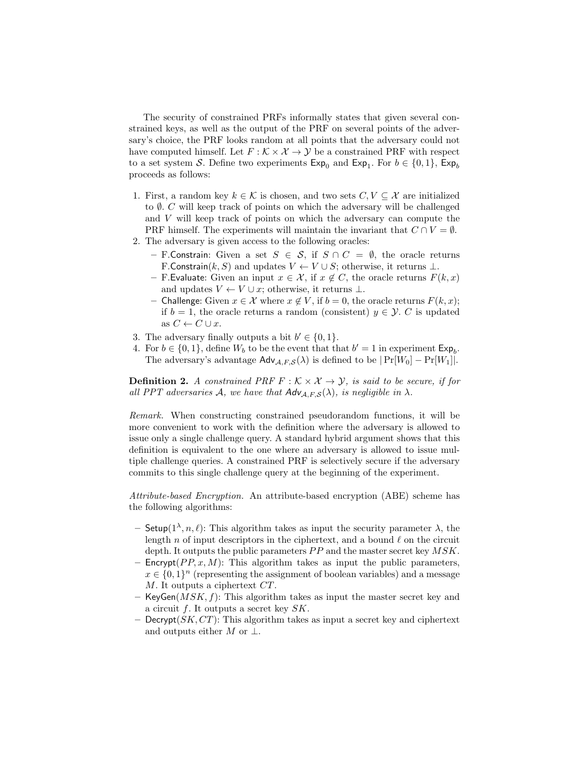The security of constrained PRFs informally states that given several constrained keys, as well as the output of the PRF on several points of the adversary's choice, the PRF looks random at all points that the adversary could not have computed himself. Let  $F : \mathcal{K} \times \mathcal{X} \to \mathcal{Y}$  be a constrained PRF with respect to a set system S. Define two experiments  $Exp_0$  and  $Exp_1$ . For  $b \in \{0, 1\}$ ,  $Exp_b$ proceeds as follows:

- 1. First, a random key  $k \in \mathcal{K}$  is chosen, and two sets  $C, V \subset \mathcal{X}$  are initialized to  $\emptyset$ . C will keep track of points on which the adversary will be challenged and V will keep track of points on which the adversary can compute the PRF himself. The experiments will maintain the invariant that  $C \cap V = \emptyset$ .
- 2. The adversary is given access to the following oracles:
	- F.Constrain: Given a set  $S \in S$ , if  $S \cap C = \emptyset$ , the oracle returns F.Constrain $(k, S)$  and updates  $V \leftarrow V \cup S$ ; otherwise, it returns  $\perp$ .
	- F.Evaluate: Given an input  $x \in \mathcal{X}$ , if  $x \notin C$ , the oracle returns  $F(k, x)$ and updates  $V \leftarrow V \cup x$ ; otherwise, it returns  $\perp$ .
	- Challenge: Given  $x \in \mathcal{X}$  where  $x \notin V$ , if  $b = 0$ , the oracle returns  $F(k, x)$ ; if  $b = 1$ , the oracle returns a random (consistent)  $y \in \mathcal{Y}$ . C is updated as  $C \leftarrow C \cup x$ .
- 3. The adversary finally outputs a bit  $b' \in \{0, 1\}.$
- 4. For  $b \in \{0, 1\}$ , define  $W_b$  to be the event that that  $b' = 1$  in experiment  $\mathsf{Exp}_b$ . The adversary's advantage  $\mathsf{Adv}_{\mathcal{A},F,\mathcal{S}}(\lambda)$  is defined to be  $|\Pr[W_0] - \Pr[W_1]|$ .

**Definition 2.** A constrained PRF  $F : K \times X \rightarrow Y$ , is said to be secure, if for all PPT adversaries A, we have that  $Adv_{A,F,S}(\lambda)$ , is negligible in  $\lambda$ .

Remark. When constructing constrained pseudorandom functions, it will be more convenient to work with the definition where the adversary is allowed to issue only a single challenge query. A standard hybrid argument shows that this definition is equivalent to the one where an adversary is allowed to issue multiple challenge queries. A constrained PRF is selectively secure if the adversary commits to this single challenge query at the beginning of the experiment.

Attribute-based Encryption. An attribute-based encryption (ABE) scheme has the following algorithms:

- $-$  Setup( $1^{\lambda}, n, \ell$ ): This algorithm takes as input the security parameter  $\lambda$ , the length n of input descriptors in the ciphertext, and a bound  $\ell$  on the circuit depth. It outputs the public parameters  $PP$  and the master secret key  $MSK$ .
- Encrypt( $PP, x, M$ ): This algorithm takes as input the public parameters,  $x \in \{0,1\}^n$  (representing the assignment of boolean variables) and a message M. It outputs a ciphertext CT.
- KeyGen( $MSK, f$ ): This algorithm takes as input the master secret key and a circuit f. It outputs a secret key SK.
- Decrypt $(SK, CT)$ : This algorithm takes as input a secret key and ciphertext and outputs either M or  $\perp$ .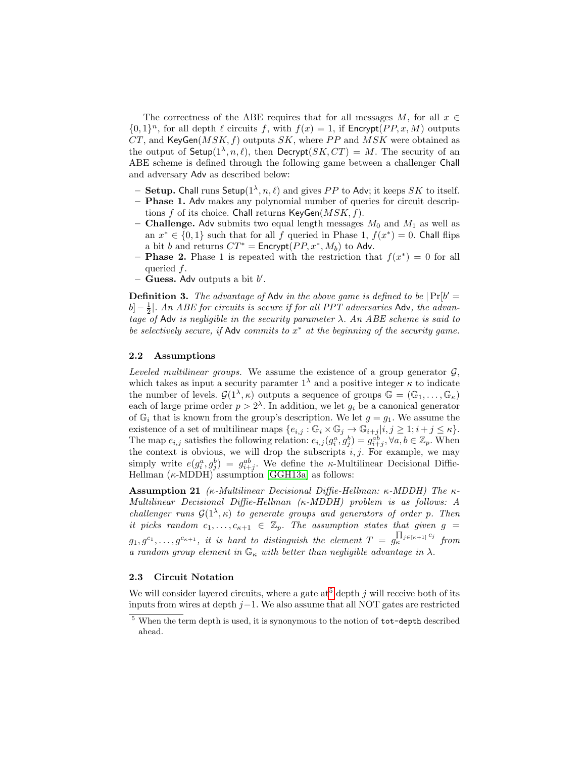The correctness of the ABE requires that for all messages M, for all  $x \in$  $\{0,1\}^n$ , for all depth  $\ell$  circuits f, with  $f(x) = 1$ , if Encrypt(PP, x, M) outputs  $CT$ , and KeyGen( $MSK, f$ ) outputs  $SK$ , where PP and  $MSK$  were obtained as the output of  $\mathsf{Setup}(1^\lambda,n,\ell)$ , then  $\mathsf{Decrypt}(SK, CT) = M$ . The security of an ABE scheme is defined through the following game between a challenger Chall and adversary Adv as described below:

- Setup. Chall runs Setup( $1^{\lambda}, n, \ell$ ) and gives PP to Adv; it keeps SK to itself.
- Phase 1. Adv makes any polynomial number of queries for circuit descriptions f of its choice. Chall returns  $KeyGen(MSK, f)$ .
- **Challenge.** Adv submits two equal length messages  $M_0$  and  $M_1$  as well as an  $x^* \in \{0,1\}$  such that for all f queried in Phase 1,  $f(x^*) = 0$ . Chall flips a bit b and returns  $CT^* =$  Encrypt $(PP, x^*, M_b)$  to Adv.
- **Phase 2.** Phase 1 is repeated with the restriction that  $f(x^*) = 0$  for all queried f.
- Guess. Adv outputs a bit  $b'$ .

**Definition 3.** The advantage of Adv in the above game is defined to be  $|Pr[b' = b|]$  $[b] - \frac{1}{2}$ . An ABE for circuits is secure if for all PPT adversaries Adv, the advantage of Adv is negligible in the security parameter  $\lambda$ . An ABE scheme is said to be selectively secure, if  $\mathsf{Adv}\ commut_{\mathsf{S}}$  commits to  $x^*$  at the beginning of the security game.

#### 2.2 Assumptions

Leveled multilinear groups. We assume the existence of a group generator  $\mathcal{G}$ , which takes as input a security paramter  $1^{\lambda}$  and a positive integer  $\kappa$  to indicate the number of levels.  $\mathcal{G}(1^{\lambda}, \kappa)$  outputs a sequence of groups  $\mathbb{G} = (\mathbb{G}_1, \ldots, \mathbb{G}_\kappa)$ each of large prime order  $p > 2^{\lambda}$ . In addition, we let  $g_i$  be a canonical generator of  $\mathbb{G}_i$  that is known from the group's description. We let  $g = g_1$ . We assume the existence of a set of multilinear maps  $\{e_{i,j} : \mathbb{G}_i \times \mathbb{G}_j \to \mathbb{G}_{i+j} | i,j \geq 1; i+j \leq \kappa\}.$ The map  $e_{i,j}$  satisfies the following relation:  $e_{i,j}(g_i^a, g_j^b) = g_{i+j}^{ab}$ ,  $\forall a, b \in \mathbb{Z}_p$ . When the context is obvious, we will drop the subscripts  $i, j$ . For example, we may simply write  $e(g_i^a, g_j^b) = g_{i+j}^{ab}$ . We define the *κ*-Multilinear Decisional Diffie-Hellman  $(\kappa\text{-MDDH})$  assumption [\[GGH13a\]](#page-26-0) as follows:

**Assumption 21** (κ-Multilinear Decisional Diffie-Hellman: κ-MDDH) The κ-Multilinear Decisional Diffie-Hellman (κ-MDDH) problem is as follows: A challenger runs  $\mathcal{G}(1^{\lambda}, \kappa)$  to generate groups and generators of order p. Then it picks random  $c_1, \ldots, c_{\kappa+1} \in \mathbb{Z}_p$ . The assumption states that given  $g =$  $g_1, g^{c_1}, \ldots, g^{c_{\kappa+1}},$  it is hard to distinguish the element  $T ~=~ g_{\kappa}^{\prod_{j \in [\kappa+1]} c_j}$  from a random group element in  $\mathbb{G}_{\kappa}$  with better than negligible advantage in  $\lambda$ .

## <span id="page-7-1"></span>2.3 Circuit Notation

We will consider layered circuits, where a gate at  $5$  depth j will receive both of its inputs from wires at depth  $j-1$ . We also assume that all NOT gates are restricted

<span id="page-7-0"></span><sup>5</sup> When the term depth is used, it is synonymous to the notion of tot-depth described ahead.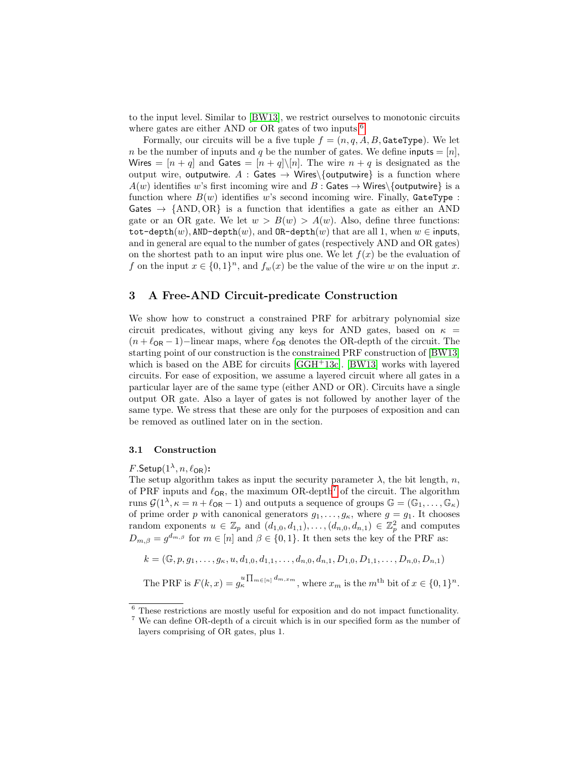to the input level. Similar to [\[BW13\]](#page-25-0), we restrict ourselves to monotonic circuits where gates are either AND or OR gates of two inputs.<sup>[6](#page-8-1)</sup>

Formally, our circuits will be a five tuple  $f = (n, q, A, B,$  GateType). We let n be the number of inputs and q be the number of gates. We define inputs  $=$  [n], Wires =  $[n+q]$  and Gates =  $[n+q]\setminus[n]$ . The wire  $n+q$  is designated as the output wire, outputwire. A : Gates  $\rightarrow$  Wires\{outputwire} is a function where  $A(w)$  identifies w's first incoming wire and B : Gates  $\rightarrow$  Wires\{outputwire} is a function where  $B(w)$  identifies w's second incoming wire. Finally, GateType: Gates  $\rightarrow$  {AND, OR} is a function that identifies a gate as either an AND gate or an OR gate. We let  $w > B(w) > A(w)$ . Also, define three functions: tot-depth $(w)$ , AND-depth $(w)$ , and OR-depth $(w)$  that are all 1, when  $w \in \text{inputs}$ , and in general are equal to the number of gates (respectively AND and OR gates) on the shortest path to an input wire plus one. We let  $f(x)$  be the evaluation of f on the input  $x \in \{0,1\}^n$ , and  $f_w(x)$  be the value of the wire w on the input x.

# <span id="page-8-0"></span>3 A Free-AND Circuit-predicate Construction

We show how to construct a constrained PRF for arbitrary polynomial size circuit predicates, without giving any keys for AND gates, based on  $\kappa$  =  $(n + \ell_{OR} - 1)$ −linear maps, where  $\ell_{OR}$  denotes the OR-depth of the circuit. The starting point of our construction is the constrained PRF construction of [\[BW13\]](#page-25-0) which is based on the ABE for circuits  $[GGH<sup>+</sup>13c]$  $[GGH<sup>+</sup>13c]$ . [\[BW13\]](#page-25-0) works with layered circuits. For ease of exposition, we assume a layered circuit where all gates in a particular layer are of the same type (either AND or OR). Circuits have a single output OR gate. Also a layer of gates is not followed by another layer of the same type. We stress that these are only for the purposes of exposition and can be removed as outlined later on in the section.

## 3.1 Construction

# $F.\mathsf{Setup}(1^\lambda,n,\ell_\mathsf{OR})$ :

The setup algorithm takes as input the security parameter  $\lambda$ , the bit length, n, of PRF inputs and  $\ell_{OR}$ , the maximum OR-depth<sup>[7](#page-8-2)</sup> of the circuit. The algorithm runs  $\mathcal{G}(1^{\lambda}, \kappa = n + \ell_{OR} - 1)$  and outputs a sequence of groups  $\mathbb{G} = (\mathbb{G}_1, \ldots, \mathbb{G}_\kappa)$ of prime order p with canonical generators  $g_1, \ldots, g_\kappa$ , where  $g = g_1$ . It chooses random exponents  $u \in \mathbb{Z}_p$  and  $(d_{1,0}, d_{1,1}), \ldots, (d_{n,0}, d_{n,1}) \in \mathbb{Z}_p^2$  and computes  $D_{m,\beta} = g^{d_{m,\beta}}$  for  $m \in [n]$  and  $\beta \in \{0,1\}$ . It then sets the key of the PRF as:

$$
k = (\mathbb{G}, p, g_1, \dots, g_\kappa, u, d_{1,0}, d_{1,1}, \dots, d_{n,0}, d_{n,1}, D_{1,0}, D_{1,1}, \dots, D_{n,0}, D_{n,1})
$$

The PRF is  $F(k, x) = g_k^{u \prod_{m \in [n]} d_{m, x_m}}$ , where  $x_m$  is the  $m^{\text{th}}$  bit of  $x \in \{0, 1\}^n$ .

<span id="page-8-1"></span><sup>6</sup> These restrictions are mostly useful for exposition and do not impact functionality.

<span id="page-8-2"></span><sup>7</sup> We can define OR-depth of a circuit which is in our specified form as the number of layers comprising of OR gates, plus 1.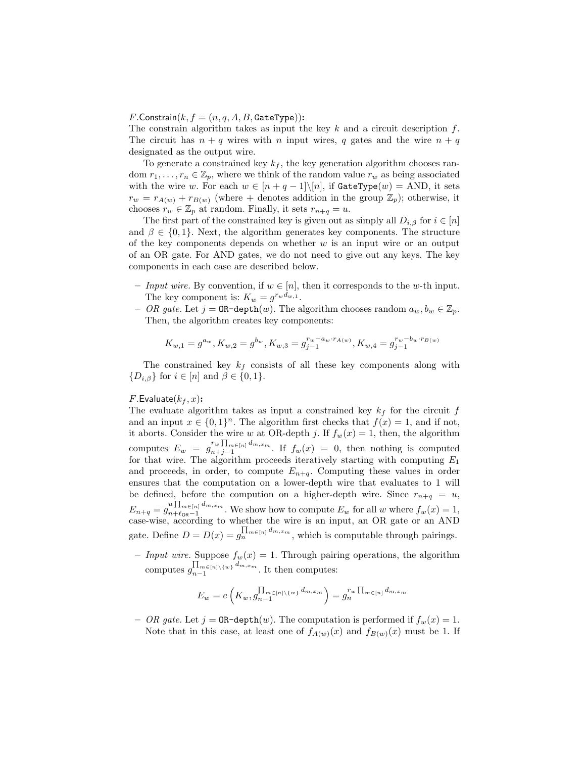# $F$ .Constrain $(k, f = (n, q, A, B,$ GateType)):

The constrain algorithm takes as input the key  $k$  and a circuit description  $f$ . The circuit has  $n + q$  wires with n input wires, q gates and the wire  $n + q$ designated as the output wire.

To generate a constrained key  $k_f$ , the key generation algorithm chooses random  $r_1, \ldots, r_n \in \mathbb{Z}_p$ , where we think of the random value  $r_w$  as being associated with the wire w. For each  $w \in [n + q - 1] \setminus [n]$ , if  $\texttt{GateType}(w) = \text{AND}$ , it sets  $r_w = r_{A(w)} + r_{B(w)}$  (where + denotes addition in the group  $\mathbb{Z}_p$ ); otherwise, it chooses  $r_w \in \mathbb{Z}_p$  at random. Finally, it sets  $r_{n+q} = u$ .

The first part of the constrained key is given out as simply all  $D_{i,\beta}$  for  $i \in [n]$ and  $\beta \in \{0,1\}$ . Next, the algorithm generates key components. The structure of the key components depends on whether  $w$  is an input wire or an output of an OR gate. For AND gates, we do not need to give out any keys. The key components in each case are described below.

- Input wire. By convention, if  $w \in [n]$ , then it corresponds to the w-th input. The key component is:  $K_w = g^{r_w d_{w,1}}$ .
- OR gate. Let  $j = \texttt{OR-depth}(w)$ . The algorithm chooses random  $a_w, b_w \in \mathbb{Z}_p$ . Then, the algorithm creates key components:

$$
K_{w,1}=g^{a_w}, K_{w,2}=g^{b_w}, K_{w,3}=g^{r_w-a_w\cdot r_{A(w)}}_{j-1}, K_{w,4}=g^{r_w-b_w\cdot r_{B(w)}}_{j-1}
$$

The constrained key  $k_f$  consists of all these key components along with  $\{D_{i,\beta}\}\$ for  $i \in [n]$  and  $\beta \in \{0,1\}.$ 

### $F$ . Evaluate $(k_f, x)$ :

The evaluate algorithm takes as input a constrained key  $k_f$  for the circuit f and an input  $x \in \{0,1\}^n$ . The algorithm first checks that  $f(x) = 1$ , and if not, it aborts. Consider the wire w at OR-depth j. If  $f_w(x) = 1$ , then, the algorithm computes  $E_w = g_{n+j-1}^{r_w \prod_{m \in [n]} d_{m,x_m}}$  $\int_{n+j-1}^{w+1} \ln \frac{1}{m+n+m}$ . If  $f_w(x) = 0$ , then nothing is computed for that wire. The algorithm proceeds iteratively starting with computing  $E_1$ and proceeds, in order, to compute  $E_{n+q}$ . Computing these values in order ensures that the computation on a lower-depth wire that evaluates to 1 will be defined, before the compution on a higher-depth wire. Since  $r_{n+q} = u$ ,  $E_{n+q}=g_{n+\ell_{\textsf{OP}}-1}^{u\prod_{m\in[n]}d_{m,x_m}}$  $\sum_{n+\ell_{\text{OR}}-1}^{\infty} \sum_{m+\ell_{\text{OR}}-1}^{\infty}$ . We show how to compute  $E_w$  for all w where  $f_w(x) = 1$ , case-wise, according to whether the wire is an input, an OR gate or an AND gate. Define  $D = D(x) = g_n^{\prod_{m \in [n]} d_{m,x_m}}$ , which is computable through pairings.

– Input wire. Suppose  $f_w(x) = 1$ . Through pairing operations, the algorithm computes  $\prod_{m \in [n] \setminus \{w\}} d_{m,x_m}$  $\prod_{n=1}^{\lfloor n \rfloor \leq \lfloor n \rfloor \leq \lfloor m \rfloor \cdot m, x_m}$ . It then computes:

$$
E_w = e\left(K_w, g_{n-1}^{\prod_{m \in [n] \backslash \{w\}} d_{m,x_m}}\right) = g_n^{r_w \prod_{m \in [n]} d_{m,x_m}}
$$

- OR gate. Let  $j = \texttt{OR-depth}(w)$ . The computation is performed if  $f_w(x) = 1$ . Note that in this case, at least one of  $f_{A(w)}(x)$  and  $f_{B(w)}(x)$  must be 1. If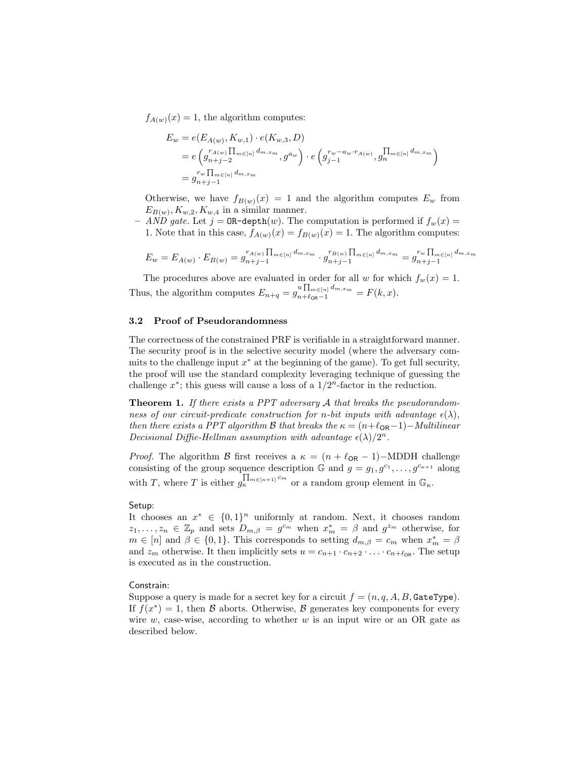$f_{A(w)}(x) = 1$ , the algorithm computes:

$$
E_w = e(E_{A(w)}, K_{w,1}) \cdot e(K_{w,3}, D)
$$
  
=  $e \left( g_{n+j-2}^{r_{A(w)}} \prod_{m \in [n]} d_{m,x_m}^r, g^{a_w} \right) \cdot e \left( g_{j-1}^{r_w - a_w \cdot r_{A(w)}}, g_n^{\prod_{m \in [n]} d_{m,x_m}} \right)$   
=  $g_{n+j-1}^{r_w} \prod_{m \in [n]} d_{m,x_m}$ 

Otherwise, we have  $f_{B(w)}(x) = 1$  and the algorithm computes  $E_w$  from  $E_{B(w)}, K_{w,2}, K_{w,4}$  in a similar manner.

- AND gate. Let  $j = \texttt{OR-depth}(w)$ . The computation is performed if  $f_w(x) =$ 1. Note that in this case,  $f_{A(w)}(x) = f_{B(w)}(x) = 1$ . The algorithm computes:

$$
E_w = E_{A(w)} \cdot E_{B(w)} = g_{n+j-1}^{r_{A(w)}} \prod_{m \in [n]} d_{m,x_m} \cdot g_{n+j-1}^{r_{B(w)}} \prod_{m \in [n]} d_{m,x_m} = g_{n+j-1}^{r_w} \prod_{m \in [n]} d_{m,x_m}
$$

The procedures above are evaluated in order for all w for which  $f_w(x) = 1$ . Thus, the algorithm computes  $E_{n+q} = g_{n+\ell_{\text{OR}}-1}^{u \prod_{m \in [n]} d_{m,x_m}} = F(k, x)$ .

#### 3.2 Proof of Pseudorandomness

The correctness of the constrained PRF is verifiable in a straightforward manner. The security proof is in the selective security model (where the adversary commits to the challenge input  $x^*$  at the beginning of the game). To get full security, the proof will use the standard complexity leveraging technique of guessing the challenge  $x^*$ ; this guess will cause a loss of a  $1/2^n$ -factor in the reduction.

**Theorem 1.** If there exists a PPT adversary  $A$  that breaks the pseudorandomness of our circuit-predicate construction for n-bit inputs with advantage  $\epsilon(\lambda)$ , then there exists a PPT algorithm B that breaks the  $\kappa = (n+\ell_{OR}-1)-Multilinear$ Decisional Diffie-Hellman assumption with advantage  $\epsilon(\lambda)/2^n$ .

*Proof.* The algorithm B first receives a  $\kappa = (n + \ell_{OR} - 1) - \text{MDDH}$  challenge consisting of the group sequence description  $\mathbb{G}$  and  $g = g_1, g^{c_1}, \ldots, g^{c_{\kappa+1}}$  along with T, where T is either  $g_k^{\prod_{m \in [\kappa+1]} c_m}$  or a random group element in  $\mathbb{G}_{\kappa}$ .

#### Setup:

It chooses an  $x^* \in \{0,1\}^n$  uniformly at random. Next, it chooses random  $z_1, \ldots, z_n \in \mathbb{Z}_p$  and sets  $D_{m,\beta} = g^{c_m}$  when  $x_m^* = \beta$  and  $g^{z_m}$  otherwise, for  $m \in [n]$  and  $\beta \in \{0,1\}$ . This corresponds to setting  $d_{m,\beta} = c_m$  when  $x_m^* = \beta$ and  $z_m$  otherwise. It then implicitly sets  $u = c_{n+1} \cdot c_{n+2} \cdot \ldots \cdot c_{n+\ell_{OR}}$ . The setup is executed as in the construction.

#### Constrain:

Suppose a query is made for a secret key for a circuit  $f = (n, q, A, B,$  GateType). If  $f(x^*) = 1$ , then B aborts. Otherwise, B generates key components for every wire  $w$ , case-wise, according to whether  $w$  is an input wire or an OR gate as described below.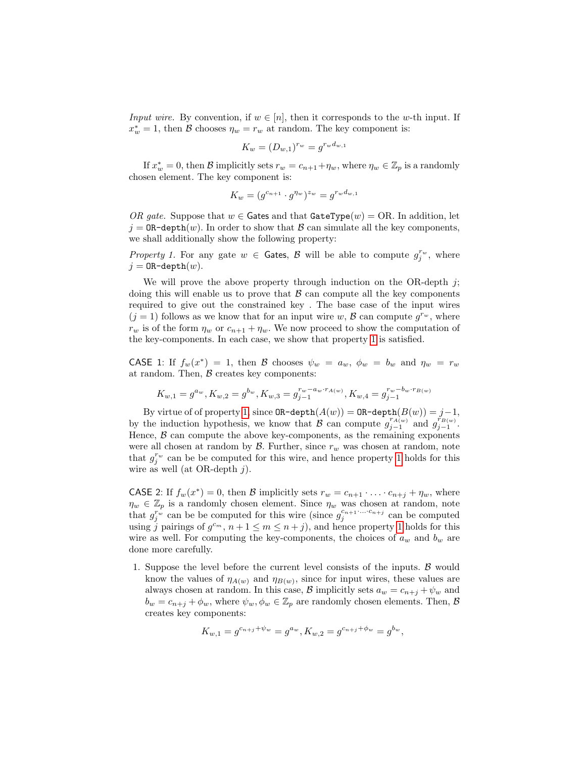*Input wire.* By convention, if  $w \in [n]$ , then it corresponds to the w-th input. If  $x_w^* = 1$ , then  $\beta$  chooses  $\eta_w = r_w$  at random. The key component is:

$$
K_w = (D_{w,1})^{r_w} = g^{r_w d_{w,1}}
$$

If  $x_w^* = 0$ , then  $\mathcal B$  implicitly sets  $r_w = c_{n+1} + \eta_w$ , where  $\eta_w \in \mathbb{Z}_p$  is a randomly chosen element. The key component is:

<span id="page-11-0"></span>
$$
K_w = (g^{c_{n+1}} \cdot g^{\eta_w})^{z_w} = g^{r_w d_{w,1}}
$$

OR gate. Suppose that  $w \in$  Gates and that GateType(w) = OR. In addition, let  $j = \texttt{OR-depth}(w)$ . In order to show that B can simulate all the key components. we shall additionally show the following property:

Property 1. For any gate  $w \in$  Gates,  $\mathcal{B}$  will be able to compute  $g_j^{r_w}$ , where  $j =$  OR-depth $(w)$ .

We will prove the above property through induction on the OR-depth  $j$ ; doing this will enable us to prove that  $\beta$  can compute all the key components required to give out the constrained key . The base case of the input wires  $(j = 1)$  follows as we know that for an input wire w,  $\mathcal{B}$  can compute  $g^{r_w}$ , where  $r_w$  is of the form  $\eta_w$  or  $c_{n+1} + \eta_w$ . We now proceed to show the computation of the key-components. In each case, we show that property [1](#page-11-0) is satisfied.

CASE 1: If  $f_w(x^*) = 1$ , then B chooses  $\psi_w = a_w$ ,  $\phi_w = b_w$  and  $\eta_w = r_w$ at random. Then,  $\beta$  creates key components:

$$
K_{w,1}=g^{a_w}, K_{w,2}=g^{b_w}, K_{w,3}=g^{r_w-a_w\cdot r_{A(w)}}_{j-1}, K_{w,4}=g^{r_w-b_w\cdot r_{B(w)}}_{j-1}
$$

By virtue of of property [1,](#page-11-0) since  $\mathtt{OR-depth}(A(w)) = \mathtt{OR-depth}(B(w)) = j-1,$ by the induction hypothesis, we know that  $\mathcal{B}$  can compute  $g_{j-1}^{r_A(w)}$  and  $g_{j-1}^{r_{B(w)}}$ . Hence,  $\beta$  can compute the above key-components, as the remaining exponents were all chosen at random by  $\mathcal{B}$ . Further, since  $r_w$  was chosen at random, note that  $g_j^{r_w}$  can be be computed for this wire, and hence property [1](#page-11-0) holds for this wire as well (at OR-depth  $j$ ).

**CASE** 2: If  $f_w(x^*) = 0$ , then B implicitly sets  $r_w = c_{n+1} \cdot \ldots \cdot c_{n+j} + \eta_w$ , where  $\eta_w \in \mathbb{Z}_p$  is a randomly chosen element. Since  $\eta_w$  was chosen at random, note that  $g_j^{r_w}$  can be be computed for this wire (since  $g_j^{c_{n+1} \ldots c_{n+j}}$  can be computed using j pairings of  $g^{c_m}$ ,  $n+1 \leq m \leq n+j$ , and hence property [1](#page-11-0) holds for this wire as well. For computing the key-components, the choices of  $a_w$  and  $b_w$  are done more carefully.

1. Suppose the level before the current level consists of the inputs.  $\beta$  would know the values of  $\eta_{A(w)}$  and  $\eta_{B(w)}$ , since for input wires, these values are always chosen at random. In this case, B implicitly sets  $a_w = c_{n+i} + \psi_w$  and  $b_w = c_{n+i} + \phi_w$ , where  $\psi_w, \phi_w \in \mathbb{Z}_p$  are randomly chosen elements. Then,  $\mathcal{B}$ creates key components:

$$
K_{w,1} = g^{c_{n+j} + \psi_w} = g^{a_w}, K_{w,2} = g^{c_{n+j} + \phi_w} = g^{b_w},
$$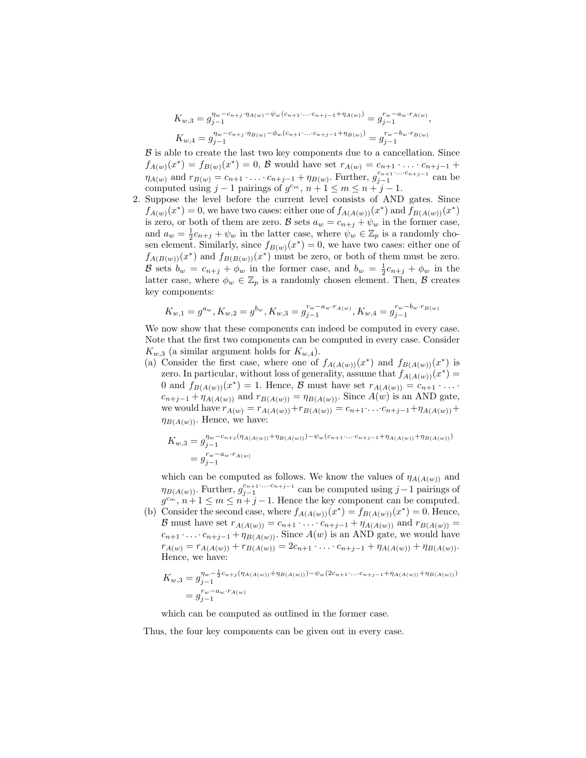$$
K_{w,3} = g_{j-1}^{\eta_w - c_{n+j} \cdot \eta_{A(w)} - \psi_w(c_{n+1} \dots c_{n+j-1} + \eta_{A(w)})} = g_{j-1}^{r_w - a_w \cdot r_{A(w)}},
$$
  
\n
$$
K_{w,4} = g_{j-1}^{\eta_w - c_{n+j} \cdot \eta_{B(w)} - \phi_w(c_{n+1} \dots c_{n+j-1} + \eta_{B(w)})} = g_{j-1}^{r_w - b_w \cdot r_{B(w)}}
$$

 $\beta$  is able to create the last two key components due to a cancellation. Since  $f_{A(w)}(x^*) = f_{B(w)}(x^*) = 0, \mathcal{B}$  would have set  $r_{A(w)} = c_{n+1} \cdot \ldots \cdot c_{n+j-1}$  +  $\eta_{A(w)}$  and  $r_{B(w)} = c_{n+1} \cdot \ldots \cdot c_{n+j-1} + \eta_{B(w)}$ . Further,  $g_{j-1}^{c_{n+1} \ldots c_{n+j-1}}$  can be computed using  $j-1$  pairings of  $g^{c_m}$ ,  $n+1 \leq m \leq n+j-1$ .

2. Suppose the level before the current level consists of AND gates. Since  $f_{A(w)}(x^*)=0$ , we have two cases: either one of  $f_{A(A(w))}(x^*)$  and  $f_{B(A(w))}(x^*)$ is zero, or both of them are zero. B sets  $a_w = c_{n+j} + \psi_w$  in the former case, and  $a_w = \frac{1}{2}c_{n+j} + \psi_w$  in the latter case, where  $\psi_w \in \mathbb{Z}_p$  is a randomly chosen element. Similarly, since  $f_{B(w)}(x^*)=0$ , we have two cases: either one of  $f_{A(B(w))}(x^*)$  and  $f_{B(B(w))}(x^*)$  must be zero, or both of them must be zero. B sets  $b_w = c_{n+j} + \phi_w$  in the former case, and  $b_w = \frac{1}{2}c_{n+j} + \phi_w$  in the latter case, where  $\phi_w \in \mathbb{Z}_p$  is a randomly chosen element. Then,  $\beta$  creates key components:

$$
K_{w,1} = g^{a_w}, K_{w,2} = g^{b_w}, K_{w,3} = g^{r_w - a_w \cdot r_{A(w)}}, K_{w,4} = g^{r_w - b_w \cdot r_{B(w)}}
$$

We now show that these components can indeed be computed in every case. Note that the first two components can be computed in every case. Consider  $K_{w,3}$  (a similar argument holds for  $K_{w,4}$ ).

(a) Consider the first case, where one of  $f_{A(A(w))}(x^*)$  and  $f_{B(A(w))}(x^*)$  is zero. In particular, without loss of generality, assume that  $f_{A(A(w))}(x^*) =$ 0 and  $f_{B(A(w))}(x^*) = 1$ . Hence, B must have set  $r_{A(A(w))} = c_{n+1} \cdot \ldots$  $c_{n+j-1} + \eta_{A(A(w))}$  and  $r_{B(A(w))} = \eta_{B(A(w))}$ . Since  $A(w)$  is an AND gate, we would have  $r_{A(w)} = r_{A(A(w))} + r_{B(A(w))} = c_{n+1} \cdots c_{n+j-1} + r_{A(A(w))} +$  $\eta_{B(A(w))}$ . Hence, we have:

$$
K_{w,3} = g_{j-1}^{\eta_w - c_{n+j}(\eta_{A(A(w))} + \eta_{B(A(w))}) - \psi_w(c_{n+1} \dots c_{n+j-1} + \eta_{A(A(w))} + \eta_{B(A(w))})}
$$
  
=  $g_{j-1}^{r_w - a_w \cdot r_{A(w)}}$ 

which can be computed as follows. We know the values of  $\eta_{A(A(w))}$  and  $\eta_{B(A(w))}$ . Further,  $g_{j-1}^{c_{n+1}\ldots c_{n+j-1}}$  can be computed using j - 1 pairings of  $g^{c_m}, n+1 \leq m \leq n+j-1$ . Hence the key component can be computed.

(b) Consider the second case, where  $f_{A(A(w))}(x^*) = f_{B(A(w))}(x^*) = 0$ . Hence, B must have set  $r_{A(A(w))} = c_{n+1} \cdot \ldots \cdot c_{n+j-1} + \eta_{A(A(w))}$  and  $r_{B(A(w))} =$  $c_{n+1} \cdot \ldots \cdot c_{n+j-1} + \eta_{B(A(w))}$ . Since  $A(w)$  is an AND gate, we would have  $r_{A(w)} = r_{A(A(w))} + r_{B(A(w))} = 2c_{n+1} \cdot \ldots \cdot c_{n+j-1} + \eta_{A(A(w))} + \eta_{B(A(w))}.$ Hence, we have:

$$
K_{w,3} = g_{j-1}^{\eta_w - \frac{1}{2}c_{n+j}(\eta_{A(A(w))} + \eta_{B(A(w))}) - \psi_w(2c_{n+1}\dots c_{n+j-1} + \eta_{A(A(w))} + \eta_{B(A(w))})}
$$
  
=  $g_{j-1}^{r_w - a_w \cdot r_{A(w)}}$ 

which can be computed as outlined in the former case.

Thus, the four key components can be given out in every case.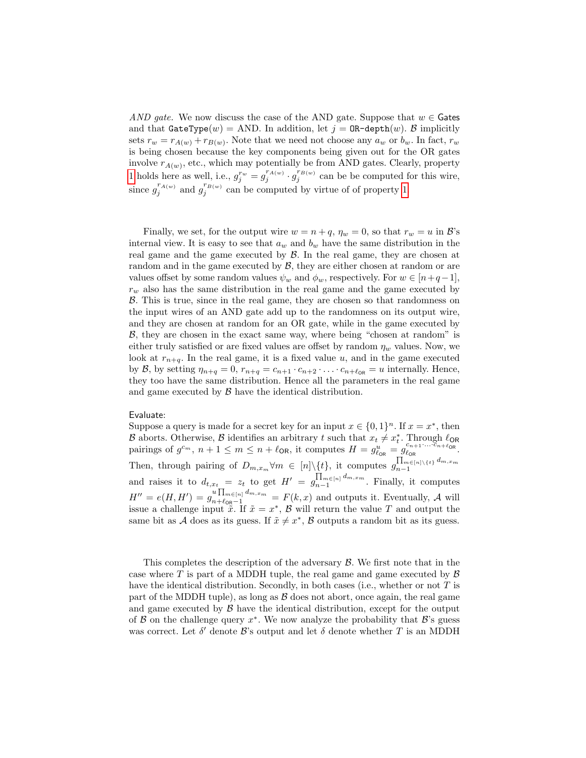AND gate. We now discuss the case of the AND gate. Suppose that  $w \in$  Gates and that  $\texttt{GateType}(w) = \text{AND}$ . In addition, let  $j = \texttt{OR-depth}(w)$ . B implicitly sets  $r_w = r_{A(w)} + r_{B(w)}$ . Note that we need not choose any  $a_w$  or  $b_w$ . In fact,  $r_w$ is being chosen because the key components being given out for the OR gates involve  $r_{A(w)}$ , etc., which may potentially be from AND gates. Clearly, property [1](#page-11-0) holds here as well, i.e.,  $g_j^{r_w} = g_j^{r_{A(w)}} \cdot g_j^{r_{B(w)}}$  can be be computed for this wire, since  $g_j^{r_{A(w)}}$  and  $g_j^{r_{B(w)}}$  can be computed by virtue of of property [1.](#page-11-0)

Finally, we set, for the output wire  $w = n + q$ ,  $\eta_w = 0$ , so that  $r_w = u$  in  $\mathcal{B}'$ 's internal view. It is easy to see that  $a_w$  and  $b_w$  have the same distribution in the real game and the game executed by  $\beta$ . In the real game, they are chosen at random and in the game executed by  $\beta$ , they are either chosen at random or are values offset by some random values  $\psi_w$  and  $\phi_w$ , respectively. For  $w \in [n+q-1]$ ,  $r_w$  also has the same distribution in the real game and the game executed by B. This is true, since in the real game, they are chosen so that randomness on the input wires of an AND gate add up to the randomness on its output wire, and they are chosen at random for an OR gate, while in the game executed by B, they are chosen in the exact same way, where being "chosen at random" is either truly satisfied or are fixed values are offset by random  $\eta_w$  values. Now, we look at  $r_{n+q}$ . In the real game, it is a fixed value u, and in the game executed by B, by setting  $\eta_{n+q} = 0$ ,  $r_{n+q} = c_{n+1} \cdot c_{n+2} \cdot \ldots \cdot c_{n+\ell_{OR}} = u$  internally. Hence, they too have the same distribution. Hence all the parameters in the real game and game executed by  $\beta$  have the identical distribution.

## Evaluate:

Suppose a query is made for a secret key for an input  $x \in \{0,1\}^n$ . If  $x = x^*$ , then B aborts. Otherwise, B identifies an arbitrary t such that  $x_t \neq x_t^*$ . Through  $\ell_{OR}$ pairings of g <sup>c</sup>m, n + 1 ≤ m ≤ n + `OR, it computes H = g u `OR = g cn+1·...·cn+`OR `OR . Then, through pairing of  $D_{m,x_m} \forall m \in [n] \setminus \{t\}$ , it computes  $g_{n-1}^{\prod_{m \in [n] \setminus \{t\}} d_{m,x_m}}$  $n-1$ and raises it to  $d_{t,x_t} = z_t$  to get  $H' = g_{n-1}^{\prod_{m \in [n]} d_{m,x_m}}$  $\prod_{n=1}^{\text{Im}\in[n]}$ <sup> $\alpha_{m,x,m}$ </sup>. Finally, it computes  $H'' = e(H, H') = g_{n+\ell_{\text{OR}}-1}^{u \prod_{m \in [n]} d_{m,x_m}} = F(k, x)$  and outputs it. Eventually, A will issue a challenge input  $\tilde{x}$ . If  $\tilde{x} = x^*$ ,  $\tilde{B}$  will return the value T and output the same bit as A does as its guess. If  $\tilde{x} \neq x^*$ , B outputs a random bit as its guess.

This completes the description of the adversary B. We first note that in the case where  $T$  is part of a MDDH tuple, the real game and game executed by  $\beta$ have the identical distribution. Secondly, in both cases (i.e., whether or not  $T$  is part of the MDDH tuple), as long as  $\beta$  does not abort, once again, the real game and game executed by  $\beta$  have the identical distribution, except for the output of  $\beta$  on the challenge query  $x^*$ . We now analyze the probability that  $\beta$ 's guess was correct. Let  $\delta'$  denote  $\mathcal{B}$ 's output and let  $\delta$  denote whether T is an MDDH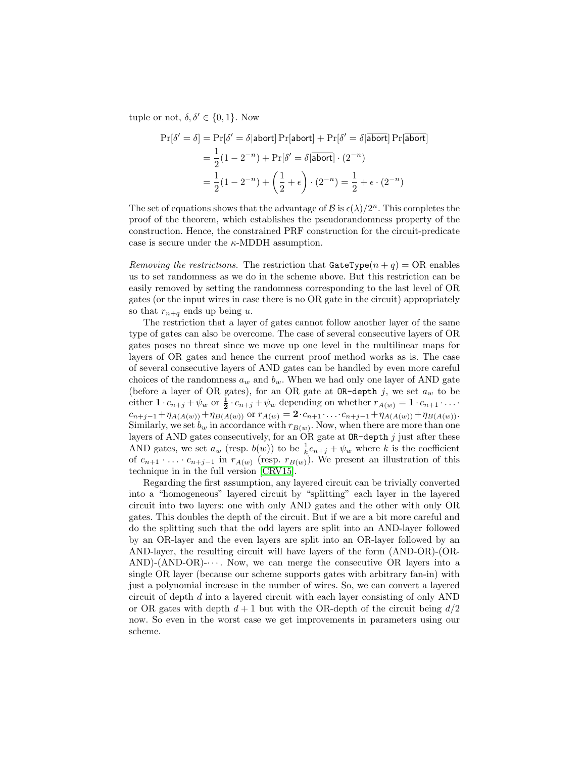tuple or not,  $\delta, \delta' \in \{0, 1\}$ . Now

$$
\Pr[\delta' = \delta] = \Pr[\delta' = \delta | \text{abort}] \Pr[\text{abort}] + \Pr[\delta' = \delta | \overline{\text{abort}}] \Pr[\overline{\text{abort}}]
$$

$$
= \frac{1}{2} (1 - 2^{-n}) + \Pr[\delta' = \delta | \overline{\text{abort}}] \cdot (2^{-n})
$$

$$
= \frac{1}{2} (1 - 2^{-n}) + \left(\frac{1}{2} + \epsilon\right) \cdot (2^{-n}) = \frac{1}{2} + \epsilon \cdot (2^{-n})
$$

The set of equations shows that the advantage of  $\mathcal{B}$  is  $\epsilon(\lambda)/2^n$ . This completes the proof of the theorem, which establishes the pseudorandomness property of the construction. Hence, the constrained PRF construction for the circuit-predicate case is secure under the  $\kappa$ -MDDH assumption.

Removing the restrictions. The restriction that  $\texttt{GateType}(n + q) = \text{OR}$  enables us to set randomness as we do in the scheme above. But this restriction can be easily removed by setting the randomness corresponding to the last level of OR gates (or the input wires in case there is no OR gate in the circuit) appropriately so that  $r_{n+q}$  ends up being u.

The restriction that a layer of gates cannot follow another layer of the same type of gates can also be overcome. The case of several consecutive layers of OR gates poses no threat since we move up one level in the multilinear maps for layers of OR gates and hence the current proof method works as is. The case of several consecutive layers of AND gates can be handled by even more careful choices of the randomness  $a_w$  and  $b_w$ . When we had only one layer of AND gate (before a layer of OR gates), for an OR gate at  $OR$ -depth j, we set  $a_w$  to be either  $\mathbf{1} \cdot c_{n+j} + \psi_w$  or  $\frac{1}{2} \cdot c_{n+j} + \psi_w$  depending on whether  $r_{A(w)} = \mathbf{1} \cdot c_{n+1} \cdot \ldots$  $c_{n+j-1}+\eta_{A(A(w))}+\eta_{B(A(w))}$  or  $r_{A(w)}=2\cdot c_{n+1}\cdot \ldots \cdot c_{n+j-1}+\eta_{A(A(w))}+\eta_{B(A(w))}$ . Similarly, we set  $b_w$  in accordance with  $r_{B(w)}$ . Now, when there are more than one layers of AND gates consecutively, for an OR gate at  $OR$ -depth j just after these AND gates, we set  $a_w$  (resp.  $b(w)$ ) to be  $\frac{1}{k}c_{n+j} + \psi_w$  where k is the coefficient of  $c_{n+1} \cdot \ldots \cdot c_{n+j-1}$  in  $r_{A(w)}$  (resp.  $r_{B(w)}$ ). We present an illustration of this technique in in the full version [\[CRV15\]](#page-25-10).

Regarding the first assumption, any layered circuit can be trivially converted into a "homogeneous" layered circuit by "splitting" each layer in the layered circuit into two layers: one with only AND gates and the other with only OR gates. This doubles the depth of the circuit. But if we are a bit more careful and do the splitting such that the odd layers are split into an AND-layer followed by an OR-layer and the even layers are split into an OR-layer followed by an AND-layer, the resulting circuit will have layers of the form (AND-OR)-(OR-AND)- $(AND-OR)$ - $\cdots$ . Now, we can merge the consecutive OR layers into a single OR layer (because our scheme supports gates with arbitrary fan-in) with just a polynomial increase in the number of wires. So, we can convert a layered circuit of depth d into a layered circuit with each layer consisting of only AND or OR gates with depth  $d+1$  but with the OR-depth of the circuit being  $d/2$ now. So even in the worst case we get improvements in parameters using our scheme.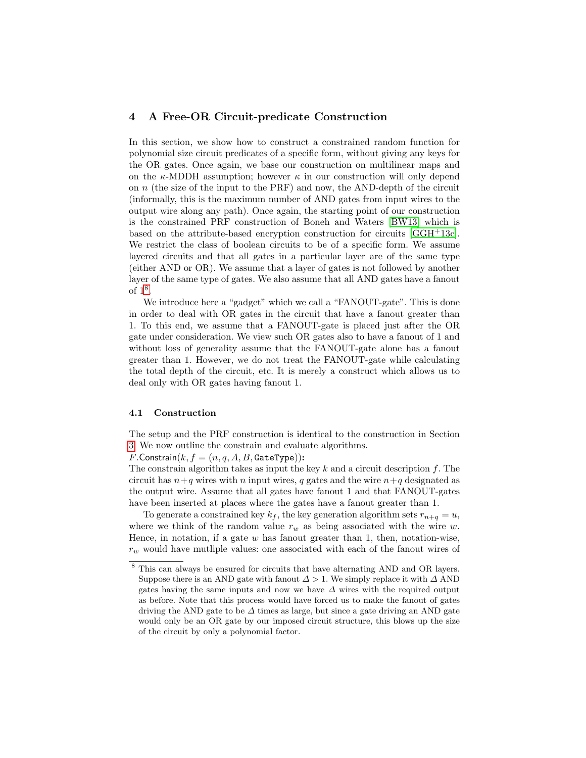# <span id="page-15-0"></span>4 A Free-OR Circuit-predicate Construction

In this section, we show how to construct a constrained random function for polynomial size circuit predicates of a specific form, without giving any keys for the OR gates. Once again, we base our construction on multilinear maps and on the  $\kappa$ -MDDH assumption; however  $\kappa$  in our construction will only depend on  $n$  (the size of the input to the PRF) and now, the AND-depth of the circuit (informally, this is the maximum number of AND gates from input wires to the output wire along any path). Once again, the starting point of our construction is the constrained PRF construction of Boneh and Waters [\[BW13\]](#page-25-0) which is based on the attribute-based encryption construction for circuits [\[GGH](#page-26-1)+13c]. We restrict the class of boolean circuits to be of a specific form. We assume layered circuits and that all gates in a particular layer are of the same type (either AND or OR). We assume that a layer of gates is not followed by another layer of the same type of gates. We also assume that all AND gates have a fanout of  $1^8$  $1^8$ .

We introduce here a "gadget" which we call a "FANOUT-gate". This is done in order to deal with OR gates in the circuit that have a fanout greater than 1. To this end, we assume that a FANOUT-gate is placed just after the OR gate under consideration. We view such OR gates also to have a fanout of 1 and without loss of generality assume that the FANOUT-gate alone has a fanout greater than 1. However, we do not treat the FANOUT-gate while calculating the total depth of the circuit, etc. It is merely a construct which allows us to deal only with OR gates having fanout 1.

#### 4.1 Construction

The setup and the PRF construction is identical to the construction in Section [3.](#page-8-0) We now outline the constrain and evaluate algorithms.

 $F$ .Constrain $(k, f = (n, q, A, B,$  GateType)):

The constrain algorithm takes as input the key  $k$  and a circuit description  $f$ . The circuit has  $n+q$  wires with n input wires, q gates and the wire  $n+q$  designated as the output wire. Assume that all gates have fanout 1 and that FANOUT-gates have been inserted at places where the gates have a fanout greater than 1.

To generate a constrained key  $k_f$ , the key generation algorithm sets  $r_{n+q} = u$ , where we think of the random value  $r_w$  as being associated with the wire w. Hence, in notation, if a gate  $w$  has fanout greater than 1, then, notation-wise,  $r_w$  would have mutliple values: one associated with each of the fanout wires of

<span id="page-15-1"></span>This can always be ensured for circuits that have alternating AND and OR layers. Suppose there is an AND gate with fanout  $\Delta > 1$ . We simply replace it with  $\Delta$  AND gates having the same inputs and now we have ∆ wires with the required output as before. Note that this process would have forced us to make the fanout of gates driving the AND gate to be  $\Delta$  times as large, but since a gate driving an AND gate would only be an OR gate by our imposed circuit structure, this blows up the size of the circuit by only a polynomial factor.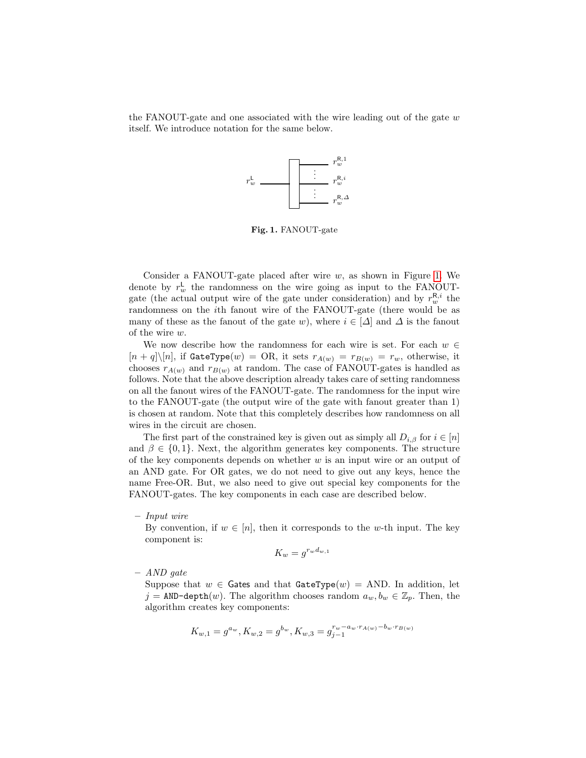the FANOUT-gate and one associated with the wire leading out of the gate  $w$ itself. We introduce notation for the same below.



<span id="page-16-0"></span>Fig. 1. FANOUT-gate

Consider a FANOUT-gate placed after wire  $w$ , as shown in Figure [1.](#page-16-0) We denote by  $r_w^{\mathsf{L}}$  the randomness on the wire going as input to the FANOUTgate (the actual output wire of the gate under consideration) and by  $r_w^{\mathbf{R},i}$  the randomness on the ith fanout wire of the FANOUT-gate (there would be as many of these as the fanout of the gate w), where  $i \in [\Delta]$  and  $\Delta$  is the fanout of the wire w.

We now describe how the randomness for each wire is set. For each  $w \in$  $[n + q] \setminus [n]$ , if GateType $(w) = \text{OR}$ , it sets  $r_{A(w)} = r_{B(w)} = r_w$ , otherwise, it chooses  $r_{A(w)}$  and  $r_{B(w)}$  at random. The case of FANOUT-gates is handled as follows. Note that the above description already takes care of setting randomness on all the fanout wires of the FANOUT-gate. The randomness for the input wire to the FANOUT-gate (the output wire of the gate with fanout greater than 1) is chosen at random. Note that this completely describes how randomness on all wires in the circuit are chosen.

The first part of the constrained key is given out as simply all  $D_{i,\beta}$  for  $i \in [n]$ and  $\beta \in \{0, 1\}$ . Next, the algorithm generates key components. The structure of the key components depends on whether  $w$  is an input wire or an output of an AND gate. For OR gates, we do not need to give out any keys, hence the name Free-OR. But, we also need to give out special key components for the FANOUT-gates. The key components in each case are described below.

#### – Input wire

By convention, if  $w \in [n]$ , then it corresponds to the w-th input. The key component is:

$$
K_w = g^{r_w d_{w,1}}
$$

## – AND gate

Suppose that  $w \in$  Gates and that GateType(w) = AND. In addition, let  $j = \text{AND-depth}(w)$ . The algorithm chooses random  $a_w, b_w \in \mathbb{Z}_p$ . Then, the algorithm creates key components:

$$
K_{w,1}=g^{a_w}, K_{w,2}=g^{b_w}, K_{w,3}=g^{r_w-a_w\cdot r_{A(w)}-b_w\cdot r_{B(w)}}
$$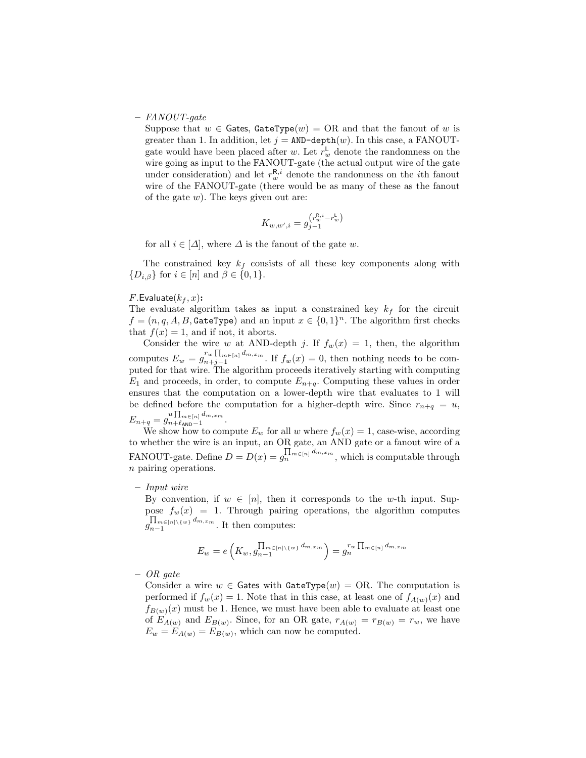#### – FANOUT-gate

Suppose that  $w \in$  Gates, GateType(w) = OR and that the fanout of w is greater than 1. In addition, let  $j = AND-depth(w)$ . In this case, a FANOUTgate would have been placed after w. Let  $r_w^{\mathsf{L}}$  denote the randomness on the wire going as input to the FANOUT-gate (the actual output wire of the gate under consideration) and let  $r_w^{\mathsf{R},i}$  denote the randomness on the *i*<sup>th</sup> fanout wire of the FANOUT-gate (there would be as many of these as the fanout of the gate  $w$ ). The keys given out are:

$$
K_{w,w',i} = g_{j-1}^{(r_w^{\rm R,i}-r_w^{\rm L})}
$$

for all  $i \in [\Delta]$ , where  $\Delta$  is the fanout of the gate w.

The constrained key  $k_f$  consists of all these key components along with  $\{D_{i,\beta}\}\$ for  $i\in[n]$  and  $\beta\in\{0,1\}.$ 

#### $F$ . Evaluate $(k_f, x)$ :

The evaluate algorithm takes as input a constrained key  $k_f$  for the circuit  $f = (n, q, A, B,$  GateType) and an input  $x \in \{0, 1\}^n$ . The algorithm first checks that  $f(x) = 1$ , and if not, it aborts.

Consider the wire w at AND-depth j. If  $f_w(x) = 1$ , then, the algorithm computes  $E_w = g_{n+i-1}^{r_w \prod_{m \in [n]} d_{m,x_m}}$  $\int_{n+j-1}^{w+1} \ln \frac{m}{m}$  If  $f_w(x) = 0$ , then nothing needs to be computed for that wire. The algorithm proceeds iteratively starting with computing  $E_1$  and proceeds, in order, to compute  $E_{n+q}$ . Computing these values in order ensures that the computation on a lower-depth wire that evaluates to 1 will be defined before the computation for a higher-depth wire. Since  $r_{n+q} = u$ ,  $E_{n+q} = g_{n+\ell_{\mathtt{AND}}-1}^{u\prod_{m\in [n]}d_{m,x_m}}$  $n+\ell$ <sub>AND</sub>−1 .

We show how to compute  $E_w$  for all w where  $f_w(x) = 1$ , case-wise, according to whether the wire is an input, an OR gate, an AND gate or a fanout wire of a FANOUT-gate. Define  $D = D(x) = g_n^{\prod_{m \in [n]} d_{m,x_m}}$ , which is computable through n pairing operations.

#### – Input wire

By convention, if  $w \in [n]$ , then it corresponds to the w-th input. Suppose  $f_w(x) = 1$ . Through pairing operations, the algorithm computes  $g_{n-1}^{\prod_{m \in [n] \setminus \{w\}} d_{m,x_m}}$  $\prod_{n=1}^{n}$   $\prod_{m=1}^{n}$   $\binom{n}{m}$  and  $\prod_{m=1}^{n}$  then computes:

$$
E_w = e\left(K_w, g_{n-1}^{\prod_{m \in [n] \setminus \{w\}} d_{m, x_m}}\right) = g_n^{r_w \prod_{m \in [n]} d_{m, x_m}}
$$

– OR gate

Consider a wire  $w \in$  Gates with GateType(w) = OR. The computation is performed if  $f_w(x) = 1$ . Note that in this case, at least one of  $f_{A(w)}(x)$  and  $f_{B(w)}(x)$  must be 1. Hence, we must have been able to evaluate at least one of  $E_{A(w)}$  and  $E_{B(w)}$ . Since, for an OR gate,  $r_{A(w)} = r_{B(w)} = r_w$ , we have  $E_w = E_{A(w)} = E_{B(w)}$ , which can now be computed.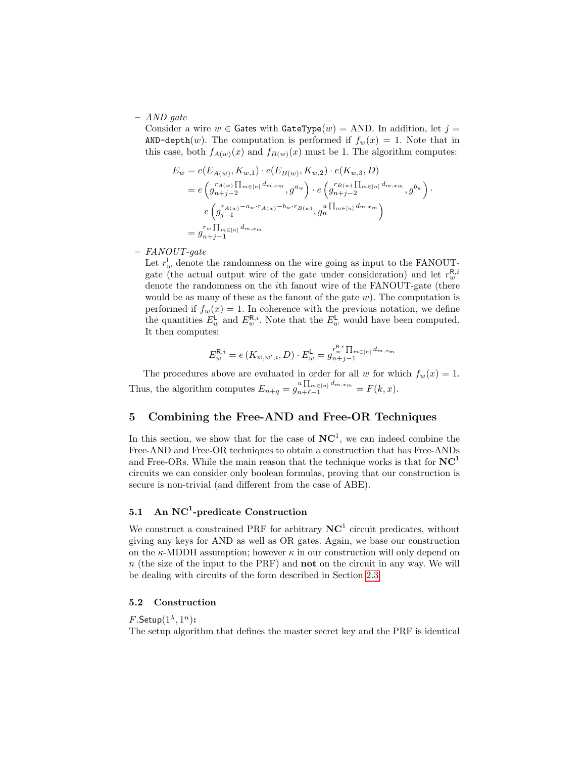– AND gate

Consider a wire  $w \in$  Gates with GateType(w) = AND. In addition, let  $j =$ AND-depth $(w)$ . The computation is performed if  $f_w(x) = 1$ . Note that in this case, both  $f_{A(w)}(x)$  and  $f_{B(w)}(x)$  must be 1. The algorithm computes:

$$
E_w = e(E_{A(w)}, K_{w,1}) \cdot e(E_{B(w)}, K_{w,2}) \cdot e(K_{w,3}, D)
$$
  
=  $e \left( g_{n+j-2}^{r_{A(w)}} \prod_{m \in [n]} d_{m,x_m}, g^{a_w} \right) \cdot e \left( g_{n+j-2}^{r_{B(w)}} \prod_{m \in [n]} d_{m,x_m}, g^{b_w} \right) \cdot e \left( g_{j-1}^{r_{A(w)} - a_w \cdot r_{A(w)} - b_w \cdot r_{B(w)}}, g_n \prod_{m \in [n]} d_{m,x_m} \right)$   
=  $g_{n+j-1}^{r_w} \prod_{m \in [n]} d_{m,x_m}$ 

– FANOUT-gate

Let  $r_w^{\mathsf{L}}$  denote the randomness on the wire going as input to the FANOUTgate (the actual output wire of the gate under consideration) and let  $r_w^{\mathsf{R},i}$ denote the randomness on the ith fanout wire of the FANOUT-gate (there would be as many of these as the fanout of the gate  $w$ ). The computation is performed if  $f_w(x) = 1$ . In coherence with the previous notation, we define the quantities  $E_w^{\mathsf{L}}$  and  $E_w^{\mathsf{R},i}$ . Note that the  $E_w^{\mathsf{L}}$  would have been computed. It then computes:

$$
E^{\mathsf{R},i}_w=e\left(K_{w,w',i},D\right)\cdot E^{\mathsf{L}}_w=g_{n+j-1}^{r_w^{ \mathsf{R},i}\prod_{m\in [n]}d_{m,x_m}}
$$

The procedures above are evaluated in order for all w for which  $f_w(x) = 1$ . Thus, the algorithm computes  $E_{n+q} = g_{n+\ell-1}^{u \prod_{m \in [n]} d_{m,x_m}} = F(k, x)$ .

# <span id="page-18-0"></span>5 Combining the Free-AND and Free-OR Techniques

In this section, we show that for the case of  $\mathbf{NC}^1$ , we can indeed combine the Free-AND and Free-OR techniques to obtain a construction that has Free-ANDs and Free-ORs. While the main reason that the technique works is that for  $NC<sup>1</sup>$ circuits we can consider only boolean formulas, proving that our construction is secure is non-trivial (and different from the case of ABE).

# <span id="page-18-1"></span>5.1 An  $NC^1$ -predicate Construction

We construct a constrained PRF for arbitrary  $NC<sup>1</sup>$  circuit predicates, without giving any keys for AND as well as OR gates. Again, we base our construction on the  $\kappa$ -MDDH assumption; however  $\kappa$  in our construction will only depend on  $n$  (the size of the input to the PRF) and **not** on the circuit in any way. We will be dealing with circuits of the form described in Section [2.3.](#page-7-1)

## 5.2 Construction

 $F$ .Setup $(1^{\lambda}, 1^n)$ :

The setup algorithm that defines the master secret key and the PRF is identical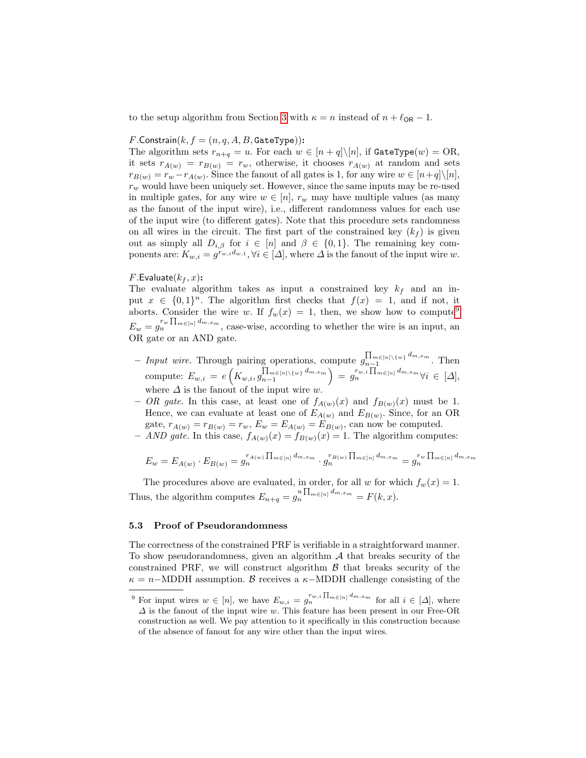to the setup algorithm from Section [3](#page-8-0) with  $\kappa = n$  instead of  $n + \ell_{OR} - 1$ .

#### $F$ .Constrain $(k, f = (n, q, A, B,$  GateType)):

The algorithm sets  $r_{n+q} = u$ . For each  $w \in [n+q] \setminus [n]$ , if GateType $(w) = \text{OR}$ , it sets  $r_{A(w)} = r_{B(w)} = r_w$ , otherwise, it chooses  $r_{A(w)}$  at random and sets  $r_{B(w)} = r_w - r_{A(w)}$ . Since the fanout of all gates is 1, for any wire  $w \in [n+q] \setminus [n]$ ,  $r_w$  would have been uniquely set. However, since the same inputs may be re-used in multiple gates, for any wire  $w \in [n]$ ,  $r_w$  may have multiple values (as many as the fanout of the input wire), i.e., different randomness values for each use of the input wire (to different gates). Note that this procedure sets randomness on all wires in the circuit. The first part of the constrained key  $(k_f)$  is given out as simply all  $D_{i,\beta}$  for  $i \in [n]$  and  $\beta \in \{0,1\}$ . The remaining key components are:  $K_{w,i} = g^{r_{w,i}d_{w,1}}, \forall i \in [\Delta],$  where  $\Delta$  is the fanout of the input wire w.

## $F$ . Evaluate $(k_f, x)$ :

The evaluate algorithm takes as input a constrained key  $k_f$  and an input  $x \in \{0,1\}^n$ . The algorithm first checks that  $f(x) = 1$ , and if not, it aborts. Consider the wire w. If  $f_w(x) = 1$ , then, we show how to compute<sup>[9](#page-19-0)</sup>  $E_w = g_n^{r_w \prod_{m \in [n]} d_{m,x_m}}$ , case-wise, according to whether the wire is an input, an OR gate or an AND gate.

- Input wire. Through pairing operations, compute  $\int_{n-1}^{\prod_{m\in[n]\setminus\{w\}}d_{m,x_m}}$  $\prod_{n=1}^{\lfloor n \rfloor \leq m \leq m, x_m}$ . Then compute:  $E_{w,i} = e\left(K_{w,i}, g_{n-1}^{\prod_{m \in [n] \setminus \{w\}} d_{m,x_m}}\right)$  $\left(\prod_{m\in [n]\setminus\{w\}}d_{m,x_m}\right) \ =\ g_n^{r_{w,i}}\prod_{m\in [n]}d_{m,x_m} \forall i\ \in\ [\Delta],$ where  $\Delta$  is the fanout of the input wire w.
- OR gate. In this case, at least one of  $f_{A(w)}(x)$  and  $f_{B(w)}(x)$  must be 1. Hence, we can evaluate at least one of  $E_{A(w)}$  and  $E_{B(w)}$ . Since, for an OR gate,  $r_{A(w)} = r_{B(w)} = r_w$ ,  $E_w = E_{A(w)} = E_{B(w)}$ , can now be computed.
- AND gate. In this case,  $f_{A(w)}(x) = f_{B(w)}(x) = 1$ . The algorithm computes:

$$
E_w = E_{A(w)} \cdot E_{B(w)} = g_n^{r_{A(w)}} \Pi_{m \in [n]} \, d_{m,x_m} \cdot g_n^{r_{B(w)}} \Pi_{m \in [n]} \, d_{m,x_m} = g_n^{r_w} \Pi_{m \in [n]} \, d_{m,x_m}
$$

The procedures above are evaluated, in order, for all w for which  $f_w(x) = 1$ . Thus, the algorithm computes  $E_{n+q} = g_n^{u \prod_{m \in [n]} d_{m,x_m}} = F(k, x)$ .

# 5.3 Proof of Pseudorandomness

The correctness of the constrained PRF is verifiable in a straightforward manner. To show pseudorandomness, given an algorithm  $A$  that breaks security of the constrained PRF, we will construct algorithm  $\beta$  that breaks security of the  $\kappa = n-\text{MDDH}$  assumption. B receives a  $\kappa-\text{MDDH}$  challenge consisting of the

<span id="page-19-0"></span><sup>&</sup>lt;sup>9</sup> For input wires  $w \in [n]$ , we have  $E_{w,i} = g_n^{r_{w,i} \prod_{m \in [n]} d_{m,x_m}}$  for all  $i \in [\Delta]$ , where  $\Delta$  is the fanout of the input wire w. This feature has been present in our Free-OR construction as well. We pay attention to it specifically in this construction because of the absence of fanout for any wire other than the input wires.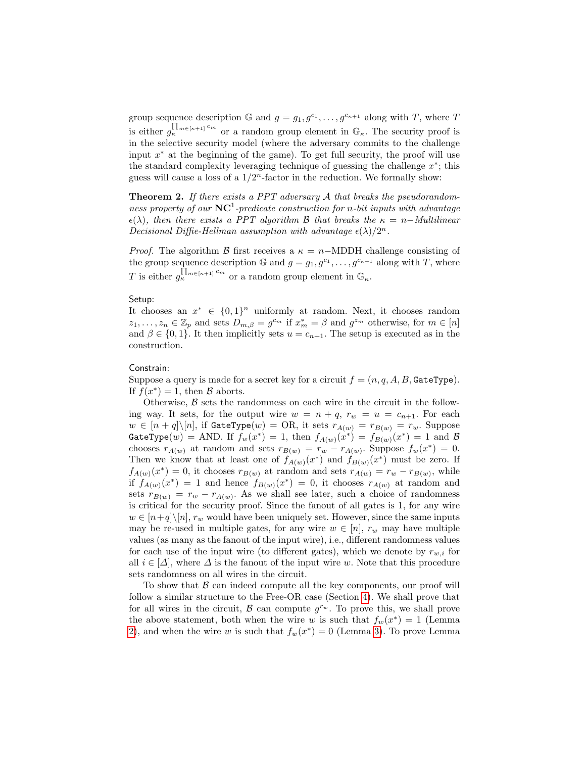group sequence description  $\mathbb{G}$  and  $g = g_1, g^{c_1}, \ldots, g^{c_{\kappa+1}}$  along with T, where T is either  $g_{\kappa}^{\prod_{m \in [\kappa+1]} c_m}$  or a random group element in  $\mathbb{G}_{\kappa}$ . The security proof is in the selective security model (where the adversary commits to the challenge input x <sup>∗</sup> at the beginning of the game). To get full security, the proof will use the standard complexity leveraging technique of guessing the challenge  $x^*$ ; this guess will cause a loss of a  $1/2^n$ -factor in the reduction. We formally show:

**Theorem 2.** If there exists a PPT adversary  $A$  that breaks the pseudorandomness property of our  $\mathbf{NC}^1$ -predicate construction for n-bit inputs with advantage  $\epsilon(\lambda)$ , then there exists a PPT algorithm B that breaks the  $\kappa = n-Multilinear$ Decisional Diffie-Hellman assumption with advantage  $\epsilon(\lambda)/2^n$ .

*Proof.* The algorithm B first receives a  $\kappa = n-\text{MDDH}$  challenge consisting of the group sequence description  $\mathbb{G}$  and  $g = g_1, g^{c_1}, \ldots, g^{c_{\kappa+1}}$  along with T, where T is either  $g_{\kappa}^{\prod_{m \in [\kappa+1]} c_m}$  or a random group element in  $\mathbb{G}_{\kappa}$ .

## Setup:

It chooses an  $x^* \in \{0,1\}^n$  uniformly at random. Next, it chooses random  $z_1, \ldots, z_n \in \mathbb{Z}_p$  and sets  $D_{m,\beta} = g^{c_m}$  if  $x_m^* = \beta$  and  $g^{z_m}$  otherwise, for  $m \in [n]$ and  $\beta \in \{0,1\}$ . It then implicitly sets  $u = c_{n+1}$ . The setup is executed as in the construction.

## Constrain:

Suppose a query is made for a secret key for a circuit  $f = (n, q, A, B,$  GateType). If  $f(x^*) = 1$ , then  $\beta$  aborts.

Otherwise,  $\beta$  sets the randomness on each wire in the circuit in the following way. It sets, for the output wire  $w = n + q$ ,  $r_w = u = c_{n+1}$ . For each  $w \in [n+q] \backslash [n]$ , if GateType $(w) = \text{OR}$ , it sets  $r_{A(w)} = r_{B(w)} = r_w$ . Suppose  $\texttt{GateType}(w) = \text{AND. If } f_w(x^*) = 1 \text{, then } f_{A(w)}(x^*) = f_{B(w)}(x^*) = 1 \text{ and } \mathcal{B}$ chooses  $r_{A(w)}$  at random and sets  $r_{B(w)} = r_w - r_{A(w)}$ . Suppose  $f_w(x^*) = 0$ . Then we know that at least one of  $f_{A(w)}(x^*)$  and  $f_{B(w)}(x^*)$  must be zero. If  $f_{A(w)}(x^*)=0$ , it chooses  $r_{B(w)}$  at random and sets  $r_{A(w)}=r_w-r_{B(w)}$ , while if  $f_{A(w)}(x^*) = 1$  and hence  $f_{B(w)}(x^*) = 0$ , it chooses  $r_{A(w)}$  at random and sets  $r_{B(w)} = r_w - r_{A(w)}$ . As we shall see later, such a choice of randomness is critical for the security proof. Since the fanout of all gates is 1, for any wire  $w \in [n+q] \setminus [n]$ ,  $r_w$  would have been uniquely set. However, since the same inputs may be re-used in multiple gates, for any wire  $w \in [n]$ ,  $r_w$  may have multiple values (as many as the fanout of the input wire), i.e., different randomness values for each use of the input wire (to different gates), which we denote by  $r_{w,i}$  for all  $i \in [\Delta]$ , where  $\Delta$  is the fanout of the input wire w. Note that this procedure sets randomness on all wires in the circuit.

To show that  $\beta$  can indeed compute all the key components, our proof will follow a similar structure to the Free-OR case (Section [4\)](#page-15-0). We shall prove that for all wires in the circuit,  $\mathcal{B}$  can compute  $g^{r_w}$ . To prove this, we shall prove the above statement, both when the wire w is such that  $f_w(x^*) = 1$  (Lemma [2\)](#page-21-0), and when the wire w is such that  $f_w(x^*) = 0$  (Lemma [3\)](#page-21-1). To prove Lemma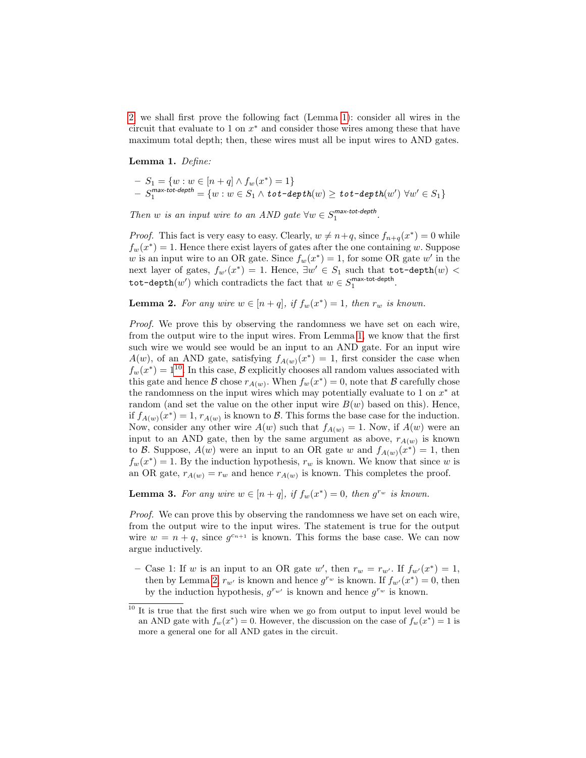[2,](#page-21-0) we shall first prove the following fact (Lemma [1\)](#page-21-2): consider all wires in the circuit that evaluate to 1 on  $x^*$  and consider those wires among these that have maximum total depth; then, these wires must all be input wires to AND gates.

<span id="page-21-2"></span>Lemma 1. Define:

$$
- S_1 = \{ w : w \in [n+q] \land f_w(x^*) = 1 \}
$$
  
- S<sub>1</sub><sup>max-tot-depth</sup> =  $\{ w : w \in S_1 \land \text{tot-depth}(w) \ge \text{tot-depth}(w') \lor w' \in S_1 \}$ 

Then w is an input wire to an AND gate  $\forall w \in S_1^{\text{max-tot-depth}}$ .

*Proof.* This fact is very easy to easy. Clearly,  $w \neq n+q$ , since  $f_{n+q}(x^*) = 0$  while  $f_w(x^*) = 1$ . Hence there exist layers of gates after the one containing w. Suppose w is an input wire to an OR gate. Since  $f_w(x^*) = 1$ , for some OR gate w' in the next layer of gates,  $f_{w'}(x^*) = 1$ . Hence,  $\exists w' \in S_1$  such that  $\text{tot-depth}(w) <$ tot-depth $(w')$  which contradicts the fact that  $w \in S_1^{\text{max-tot-depth}}$ .

<span id="page-21-0"></span>**Lemma 2.** For any wire  $w \in [n+q]$ , if  $f_w(x^*) = 1$ , then  $r_w$  is known.

Proof. We prove this by observing the randomness we have set on each wire, from the output wire to the input wires. From Lemma [1,](#page-21-2) we know that the first such wire we would see would be an input to an AND gate. For an input wire  $A(w)$ , of an AND gate, satisfying  $f_{A(w)}(x^*) = 1$ , first consider the case when  $f_w(x^*) = 1^{10}$  $f_w(x^*) = 1^{10}$  $f_w(x^*) = 1^{10}$ . In this case, B explicitly chooses all random values associated with this gate and hence B chose  $r_{A(w)}$ . When  $f_w(x^*) = 0$ , note that B carefully chose the randomness on the input wires which may potentially evaluate to 1 on  $x^*$  at random (and set the value on the other input wire  $B(w)$  based on this). Hence, if  $f_{A(w)}(x^*) = 1$ ,  $r_{A(w)}$  is known to  $B$ . This forms the base case for the induction. Now, consider any other wire  $A(w)$  such that  $f_{A(w)} = 1$ . Now, if  $A(w)$  were an input to an AND gate, then by the same argument as above,  $r_{A(w)}$  is known to B. Suppose,  $A(w)$  were an input to an OR gate w and  $f_{A(w)}(x^*) = 1$ , then  $f_w(x^*) = 1$ . By the induction hypothesis,  $r_w$  is known. We know that since w is an OR gate,  $r_{A(w)} = r_w$  and hence  $r_{A(w)}$  is known. This completes the proof.

<span id="page-21-1"></span>**Lemma 3.** For any wire  $w \in [n+q]$ , if  $f_w(x^*) = 0$ , then  $g^{rw}$  is known.

Proof. We can prove this by observing the randomness we have set on each wire, from the output wire to the input wires. The statement is true for the output wire  $w = n + q$ , since  $g^{c_{n+1}}$  is known. This forms the base case. We can now argue inductively.

- Case 1: If w is an input to an OR gate w', then  $r_w = r_{w'}$ . If  $f_{w'}(x^*) = 1$ , then by Lemma [2,](#page-21-0)  $r_{w'}$  is known and hence  $g^{r_w}$  is known. If  $f_{w'}(x^*) = 0$ , then by the induction hypothesis,  $g^{r_{w'}}$  is known and hence  $g^{r_{w}}$  is known.

<span id="page-21-3"></span><sup>&</sup>lt;sup>10</sup> It is true that the first such wire when we go from output to input level would be an AND gate with  $f_w(x^*) = 0$ . However, the discussion on the case of  $f_w(x^*) = 1$  is more a general one for all AND gates in the circuit.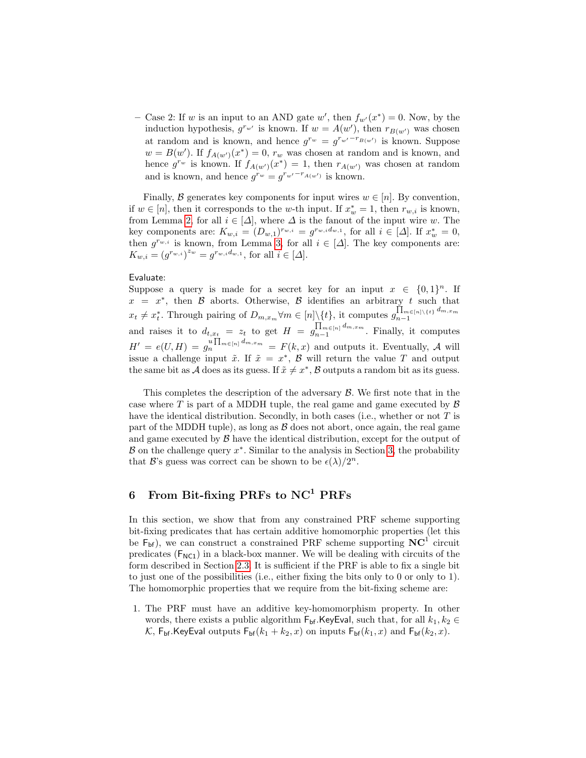- Case 2: If w is an input to an AND gate w', then  $f_{w'}(x^*) = 0$ . Now, by the induction hypothesis,  $g^{r_{w'}}$  is known. If  $w = A(w')$ , then  $r_{B(w')}$  was chosen at random and is known, and hence  $g^{r_w} = g^{r_{w'}-r_{B(w')}}$  is known. Suppose  $w = B(w')$ . If  $f_{A(w')}(x^*) = 0$ ,  $r_w$  was chosen at random and is known, and hence  $g^{r_w}$  is known. If  $f_{A(w')}(x^*) = 1$ , then  $r_{A(w')}$  was chosen at random and is known, and hence  $g^{r_w} = g^{r_{w'} - r_{A(w')}}$  is known.

Finally, B generates key components for input wires  $w \in [n]$ . By convention, if  $w \in [n]$ , then it corresponds to the w-th input. If  $x_w^* = 1$ , then  $r_{w,i}$  is known, from Lemma [2,](#page-21-0) for all  $i \in [\Delta]$ , where  $\Delta$  is the fanout of the input wire w. The key components are:  $K_{w,i} = (D_{w,1})^{r_{w,i}} = g^{r_{w,i}d_{w,1}}$ , for all  $i \in [\Delta]$ . If  $x_w^* = 0$ , then  $g^{r_{w,i}}$  is known, from Lemma [3,](#page-21-1) for all  $i \in [\Delta]$ . The key components are:  $K_{w,i} = (g^{r_{w,i}})^{z_w} = g^{r_{w,i}d_{w,1}},$  for all  $i \in [\Delta].$ 

## Evaluate:

Suppose a query is made for a secret key for an input  $x \in \{0,1\}^n$ . If  $x = x^*$ , then B aborts. Otherwise, B identifies an arbitrary t such that  $x_t \neq x_t^*$ . Through pairing of  $D_{m,x_m} \forall m \in [n] \setminus \{t\}$ , it computes  $g_{n-1}^{\prod_{m \in [n] \setminus \{t\}} d_{m,x_m}}$  $n-1$ and raises it to  $d_{t,x_t} = z_t$  to get  $H = g_{n-1}^{\prod_{m \in [n]} d_{m,x_m}}$  $\prod_{n=1}^{\text{Im}\in[n]}$  and  $x_m$ . Finally, it computes  $H' = e(U, H) = g_n^{u \prod_{m \in [n]} d_{m,x_m}} = F(k, x)$  and outputs it. Eventually, A will issue a challenge input  $\tilde{x}$ . If  $\tilde{x} = x^*$ ,  $\tilde{B}$  will return the value T and output the same bit as A does as its guess. If  $\tilde{x} \neq x^*$ , B outputs a random bit as its guess.

This completes the description of the adversary  $\mathcal{B}$ . We first note that in the case where  $T$  is part of a MDDH tuple, the real game and game executed by  $\beta$ have the identical distribution. Secondly, in both cases (i.e., whether or not  $T$  is part of the MDDH tuple), as long as  $\beta$  does not abort, once again, the real game and game executed by  $\beta$  have the identical distribution, except for the output of  $\mathcal{B}$  on the challenge query  $x^*$ . Similar to the analysis in Section [3,](#page-8-0) the probability that B's guess was correct can be shown to be  $\epsilon(\lambda)/2^n$ .

# <span id="page-22-0"></span>6 From Bit-fixing PRFs to NC<sup>1</sup> PRFs

In this section, we show that from any constrained PRF scheme supporting bit-fixing predicates that has certain additive homomorphic properties (let this be  $F_{\text{bf}}$ ), we can construct a constrained PRF scheme supporting  $NC^1$  circuit predicates  $(F_{NC1})$  in a black-box manner. We will be dealing with circuits of the form described in Section [2.3.](#page-7-1) It is sufficient if the PRF is able to fix a single bit to just one of the possibilities (i.e., either fixing the bits only to 0 or only to 1). The homomorphic properties that we require from the bit-fixing scheme are:

1. The PRF must have an additive key-homomorphism property. In other words, there exists a public algorithm  $\mathsf{F}_{\mathsf{bf}}$ .KeyEval, such that, for all  $k_1, k_2 \in$ K,  $F_{\text{bf}}$ .KeyEval outputs  $F_{\text{bf}}(k_1 + k_2, x)$  on inputs  $F_{\text{bf}}(k_1, x)$  and  $F_{\text{bf}}(k_2, x)$ .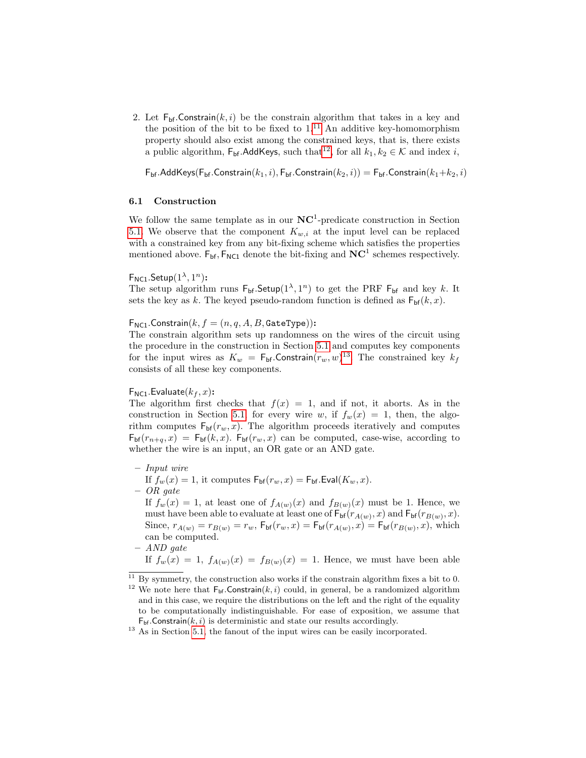2. Let  $F_{\text{bf}}$ . Constrain $(k, i)$  be the constrain algorithm that takes in a key and the position of the bit to be fixed to  $1<sup>11</sup>$  $1<sup>11</sup>$  $1<sup>11</sup>$  An additive key-homomorphism property should also exist among the constrained keys, that is, there exists a public algorithm,  $\mathsf{F}_{\mathsf{bf}}$ .AddKeys, such that<sup>[12](#page-23-1)</sup>, for all  $k_1, k_2 \in \mathcal{K}$  and index *i*,

 $F_{\text{bf}}$ .AddKeys $(F_{\text{bf}}$ .Constrain $(k_1, i)$ ,  $F_{\text{bf}}$ .Constrain $(k_2, i)$ ) =  $F_{\text{bf}}$ .Constrain $(k_1+k_2, i)$ 

## 6.1 Construction

We follow the same template as in our  $NC<sup>1</sup>$ -predicate construction in Section [5.1.](#page-18-1) We observe that the component  $K_{w,i}$  at the input level can be replaced with a constrained key from any bit-fixing scheme which satisfies the properties mentioned above.  $F_{bf}$ ,  $F_{NC1}$  denote the bit-fixing and  $NC<sup>1</sup>$  schemes respectively.

 $\mathsf{F}_{\mathsf{NC1}}.\mathsf{Setup}(1^{\lambda},1^n)$ :

The setup algorithm runs  $F_{\text{bf}}$ . Setup $(1^{\lambda}, 1^n)$  to get the PRF  $F_{\text{bf}}$  and key k. It sets the key as k. The keyed pseudo-random function is defined as  $F_{\text{bf}}(k, x)$ .

 $F_{NC1}$ . Constrain $(k, f = (n, q, A, B,$  GateType)):

The constrain algorithm sets up randomness on the wires of the circuit using the procedure in the construction in Section [5.1](#page-18-1) and computes key components for the input wires as  $K_w = \mathsf{F}_{\sf bf}$ . Constrain $(r_w, w)^{13}$  $(r_w, w)^{13}$  $(r_w, w)^{13}$ . The constrained key  $k_f$ consists of all these key components.

#### $F_{NC1}$ . Evaluate $(k_f, x)$ :

The algorithm first checks that  $f(x) = 1$ , and if not, it aborts. As in the construction in Section [5.1,](#page-18-1) for every wire w, if  $f_w(x) = 1$ , then, the algorithm computes  $F_{bf}(r_w, x)$ . The algorithm proceeds iteratively and computes  $F_{\text{bf}(r_{n+q}, x) = F_{\text{bf}}(k, x)$ .  $F_{\text{bf}(r_w, x)}$  can be computed, case-wise, according to whether the wire is an input, an OR gate or an AND gate.

– Input wire

If  $f_w(x) = 1$ , it computes  $F_{\text{bf}}(r_w, x) = F_{\text{bf}}$ . Eval $(K_w, x)$ . – OR gate

If  $f_w(x) = 1$ , at least one of  $f_{A(w)}(x)$  and  $f_{B(w)}(x)$  must be 1. Hence, we must have been able to evaluate at least one of  $F_{\text{bf}}(r_{A(w)}, x)$  and  $F_{\text{bf}}(r_{B(w)}, x)$ . Since,  $r_{A(w)} = r_{B(w)} = r_w$ ,  $F_{bf}(r_w, x) = F_{bf}(r_{A(w)}, x) = F_{bf}(r_{B(w)}, x)$ , which can be computed.

– AND gate

If  $f_w(x) = 1$ ,  $f_{A(w)}(x) = f_{B(w)}(x) = 1$ . Hence, we must have been able

<span id="page-23-1"></span><span id="page-23-0"></span> $11$  By symmetry, the construction also works if the constrain algorithm fixes a bit to 0. <sup>12</sup> We note here that  $F_{bf}$ . Constrain $(k, i)$  could, in general, be a randomized algorithm

and in this case, we require the distributions on the left and the right of the equality to be computationally indistinguishable. For ease of exposition, we assume that  $F_{\text{bf}}$ .Constrain $(k, i)$  is deterministic and state our results accordingly.

<span id="page-23-2"></span> $13$  As in Section [5.1,](#page-18-1) the fanout of the input wires can be easily incorporated.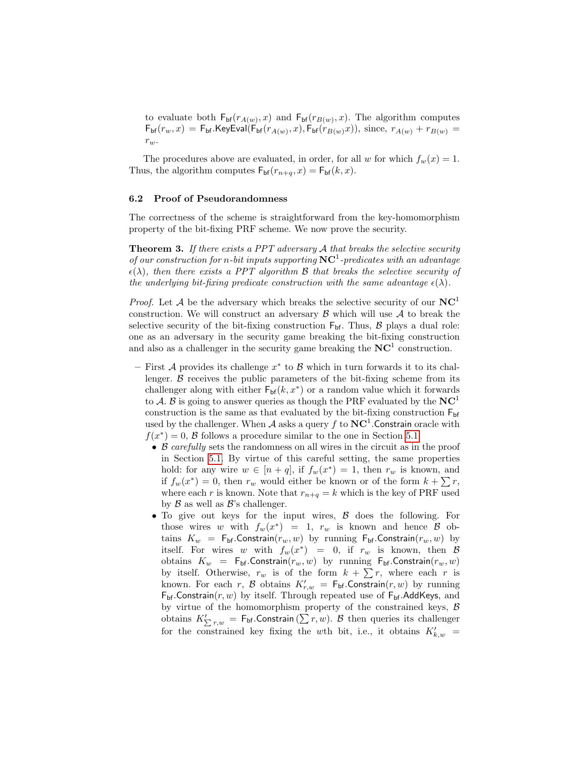to evaluate both  $\mathsf{F}_{\mathsf{bf}}(r_{A(w)}, x)$  and  $\mathsf{F}_{\mathsf{bf}}(r_{B(w)}, x)$ . The algorithm computes  $F_{\sf bf}(r_w, x) = F_{\sf bf}$ .KeyEval( $F_{\sf bf}(r_{A(w)}, x)$ ,  $F_{\sf bf}(r_{B(w)}x)$ ), since,  $r_{A(w)} + r_{B(w)} =$  $r_w.$ 

The procedures above are evaluated, in order, for all w for which  $f_w(x) = 1$ . Thus, the algorithm computes  $F_{\text{bf}}(r_{n+q}, x) = F_{\text{bf}}(k, x)$ .

#### 6.2 Proof of Pseudorandomness

The correctness of the scheme is straightforward from the key-homomorphism property of the bit-fixing PRF scheme. We now prove the security.

**Theorem 3.** If there exists a PPT adversary  $A$  that breaks the selective security of our construction for n-bit inputs supporting  $NC<sup>1</sup>$ -predicates with an advantage  $\epsilon(\lambda)$ , then there exists a PPT algorithm B that breaks the selective security of the underlying bit-fixing predicate construction with the same advantage  $\epsilon(\lambda)$ .

*Proof.* Let A be the adversary which breaks the selective security of our  $NC<sup>1</sup>$ construction. We will construct an adversary  $\beta$  which will use  $\mathcal A$  to break the selective security of the bit-fixing construction  $F_{bf}$ . Thus,  $\beta$  plays a dual role: one as an adversary in the security game breaking the bit-fixing construction and also as a challenger in the security game breaking the  $NC<sup>1</sup>$  construction.

- $-$  First A provides its challenge  $x^*$  to B which in turn forwards it to its challenger.  $\beta$  receives the public parameters of the bit-fixing scheme from its challenger along with either  $\mathsf{F}_{\mathsf{bf}}(k, x^*)$  or a random value which it forwards to A. B is going to answer queries as though the PRF evaluated by the  $NC<sup>1</sup>$ construction is the same as that evaluated by the bit-fixing construction  $F_{\text{bf}}$ used by the challenger. When  $A$  asks a query f to  $NC<sup>1</sup>$ . Constrain oracle with  $f(x^*) = 0$ , B follows a procedure similar to the one in Section [5.1.](#page-18-1)
	- B carefully sets the randomness on all wires in the circuit as in the proof in Section [5.1.](#page-18-1) By virtue of this careful setting, the same properties hold: for any wire  $w \in [n+q]$ , if  $f_w(x^*) = 1$ , then  $r_w$  is known, and if  $f_w(x^*) = 0$ , then  $r_w$  would either be known or of the form  $k + \sum r$ , where each r is known. Note that  $r_{n+q} = k$  which is the key of PRF used by  $\beta$  as well as  $\beta$ 's challenger.
	- To give out keys for the input wires, B does the following. For those wires w with  $f_w(x^*) = 1$ ,  $r_w$  is known and hence  $\beta$  obtains  $K_w = F_{\text{bf}}$ .Constrain $(r_w, w)$  by running  $F_{\text{bf}}$ .Constrain $(r_w, w)$  by itself. For wires w with  $f_w(x^*) = 0$ , if  $r_w$  is known, then B obtains  $K_w = F_{\text{bf}}$ . Constrain $(r_w, w)$  by running  $F_{\text{bf}}$ . Constrain $(r_w, w)$ by itself. Otherwise,  $r_w$  is of the form  $k + \sum r$ , where each r is known. For each r, B obtains  $K'_{r,w} = \mathsf{F}_{\sf bf}$ . Constrain $(r, w)$  by running  $F_{bf}$ .Constrain(r, w) by itself. Through repeated use of  $F_{bf}$ .AddKeys, and by virtue of the homomorphism property of the constrained keys, B obtains  $K'_{\sum r,w} = \mathsf{F}_{\sf bf}$ . Constrain  $(\sum r, w)$ . B then queries its challenger for the constrained key fixing the wth bit, i.e., it obtains  $K'_{k,w}$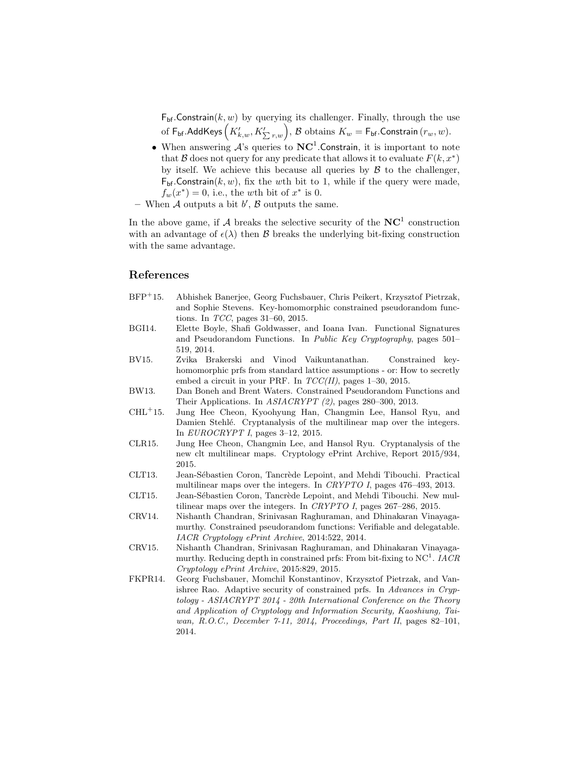$F_{\text{bf}}$ . Constrain $(k, w)$  by querying its challenger. Finally, through the use of  $\mathsf{F}_{\sf bf}$ .AddKeys $\left(K_{k,w}',K_{\sum r,w}'\right)$ ,  ${\mathcal{B}}$  obtains  $K_w=\mathsf{F}_{\sf bf}.$ Constrain  $(r_w,w).$ 

- When answering  $\mathcal{A}$ 's queries to  $NC<sup>1</sup>$ . Constrain, it is important to note that B does not query for any predicate that allows it to evaluate  $F(k, x^*)$ by itself. We achieve this because all queries by  $\beta$  to the challenger,  $F_{\text{bf}}$ . Constrain $(k, w)$ , fix the wth bit to 1, while if the query were made,  $f_w(x^*) = 0$ , i.e., the wth bit of  $x^*$  is 0.
- When  $A$  outputs a bit  $b'$ ,  $B$  outputs the same.

In the above game, if A breaks the selective security of the  $NC<sup>1</sup>$  construction with an advantage of  $\epsilon(\lambda)$  then  $\beta$  breaks the underlying bit-fixing construction with the same advantage.

# References

- <span id="page-25-5"></span>BFP<sup>+</sup>15. Abhishek Banerjee, Georg Fuchsbauer, Chris Peikert, Krzysztof Pietrzak, and Sophie Stevens. Key-homomorphic constrained pseudorandom functions. In TCC, pages 31–60, 2015.
- <span id="page-25-1"></span>BGI14. Elette Boyle, Shafi Goldwasser, and Ioana Ivan. Functional Signatures and Pseudorandom Functions. In Public Key Cryptography, pages 501– 519, 2014.
- <span id="page-25-4"></span>BV15. Zvika Brakerski and Vinod Vaikuntanathan. Constrained keyhomomorphic prfs from standard lattice assumptions - or: How to secretly embed a circuit in your PRF. In  $TCC(II)$ , pages 1–30, 2015.
- <span id="page-25-0"></span>BW13. Dan Boneh and Brent Waters. Constrained Pseudorandom Functions and Their Applications. In ASIACRYPT (2), pages 280–300, 2013.
- <span id="page-25-7"></span>CHL<sup>+</sup>15. Jung Hee Cheon, Kyoohyung Han, Changmin Lee, Hansol Ryu, and Damien Stehlé. Cryptanalysis of the multilinear map over the integers. In EUROCRYPT I, pages 3–12, 2015.
- <span id="page-25-9"></span>CLR15. Jung Hee Cheon, Changmin Lee, and Hansol Ryu. Cryptanalysis of the new clt multilinear maps. Cryptology ePrint Archive, Report 2015/934, 2015.
- <span id="page-25-6"></span>CLT13. Jean-Sébastien Coron, Tancrède Lepoint, and Mehdi Tibouchi. Practical multilinear maps over the integers. In CRYPTO I, pages 476–493, 2013.
- <span id="page-25-8"></span>CLT15. Jean-Sébastien Coron, Tancrède Lepoint, and Mehdi Tibouchi. New multilinear maps over the integers. In CRYPTO I, pages 267–286, 2015.
- <span id="page-25-2"></span>CRV14. Nishanth Chandran, Srinivasan Raghuraman, and Dhinakaran Vinayagamurthy. Constrained pseudorandom functions: Verifiable and delegatable. IACR Cryptology ePrint Archive, 2014:522, 2014.
- <span id="page-25-10"></span>CRV15. Nishanth Chandran, Srinivasan Raghuraman, and Dhinakaran Vinayagamurthy. Reducing depth in constrained prfs: From bit-fixing to  $NC<sup>1</sup>$ . IACR Cryptology ePrint Archive, 2015:829, 2015.
- <span id="page-25-3"></span>FKPR14. Georg Fuchsbauer, Momchil Konstantinov, Krzysztof Pietrzak, and Vanishree Rao. Adaptive security of constrained prfs. In Advances in Cryptology - ASIACRYPT 2014 - 20th International Conference on the Theory and Application of Cryptology and Information Security, Kaoshiung, Taiwan, R.O.C., December 7-11, 2014, Proceedings, Part II, pages 82–101, 2014.